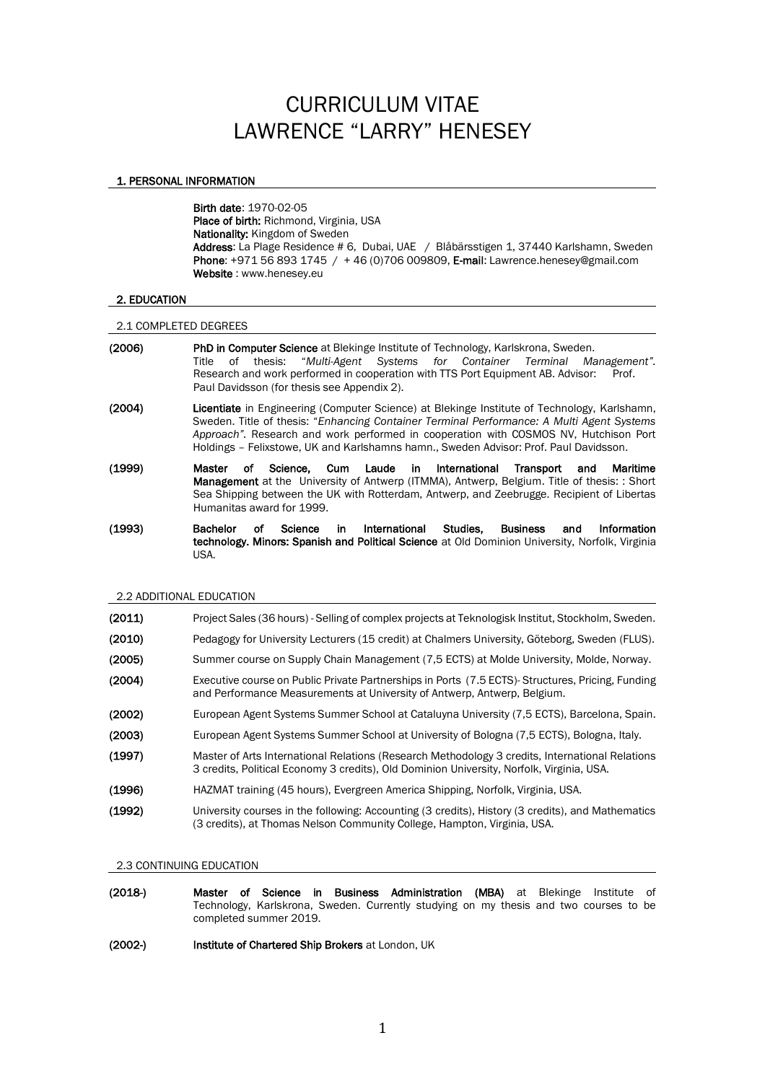# CURRICULUM VITAE LAWRENCE "LARRY" HENESEY

## 1. PERSONAL INFORMATION

Birth date: 1970-02-05 Place of birth: Richmond, Virginia, USA Nationality: Kingdom of Sweden Address: La Plage Residence # 6, Dubai, UAE / Blåbärsstigen 1, 37440 Karlshamn, Sweden Phone: +971 56 893 1745 / + 46 (0)706 009809, E-mail: Lawrence.henesey@gmail.com Website : www.henesey.eu

## 2. EDUCATION

## 2.1 COMPLETED DEGREES

- (2006) PhD in Computer Science at Blekinge Institute of Technology, Karlskrona, Sweden. Title of thesis: "*Multi-Agent Systems for Container Terminal Management".*  Research and work performed in cooperation with TTS Port Equipment AB. Advisor: Prof. Paul Davidsson (for thesis see Appendix 2).
- (2004) Licentiate in Engineering (Computer Science) at Blekinge Institute of Technology, Karlshamn, Sweden. Title of thesis: "*Enhancing Container Terminal Performance: A Multi Agent Systems Approach".* Research and work performed in cooperation with COSMOS NV, Hutchison Port Holdings – Felixstowe, UK and Karlshamns hamn., Sweden Advisor: Prof. Paul Davidsson.
- (1999) Master of Science, Cum Laude in International Transport and Maritime Management at the University of Antwerp (ITMMA), Antwerp, Belgium. Title of thesis: : Short Sea Shipping between the UK with Rotterdam, Antwerp, and Zeebrugge. Recipient of Libertas Humanitas award for 1999.
- (1993) Bachelor of Science in International Studies, Business and Information technology. Minors: Spanish and Political Science at Old Dominion University, Norfolk, Virginia USA.

#### 2.2 ADDITIONAL EDUCATION

| (2011) | Project Sales (36 hours) - Selling of complex projects at Teknologisk Institut, Stockholm, Sweden.                                                                                           |
|--------|----------------------------------------------------------------------------------------------------------------------------------------------------------------------------------------------|
| (2010) | Pedagogy for University Lecturers (15 credit) at Chalmers University, Göteborg, Sweden (FLUS).                                                                                               |
| (2005) | Summer course on Supply Chain Management (7,5 ECTS) at Molde University, Molde, Norway.                                                                                                      |
| (2004) | Executive course on Public Private Partnerships in Ports (7.5 ECTS)-Structures, Pricing, Funding<br>and Performance Measurements at University of Antwerp, Antwerp, Belgium.                 |
| (2002) | European Agent Systems Summer School at Cataluyna University (7,5 ECTS), Barcelona, Spain.                                                                                                   |
| (2003) | European Agent Systems Summer School at University of Bologna (7,5 ECTS), Bologna, Italy.                                                                                                    |
| (1997) | Master of Arts International Relations (Research Methodology 3 credits, International Relations<br>3 credits, Political Economy 3 credits), Old Dominion University, Norfolk, Virginia, USA. |
| (1996) | HAZMAT training (45 hours), Evergreen America Shipping, Norfolk, Virginia, USA.                                                                                                              |
| (1992) | University courses in the following: Accounting (3 credits), History (3 credits), and Mathematics<br>(3 credits), at Thomas Nelson Community College, Hampton, Virginia, USA.                |

#### 2.3 CONTINUING EDUCATION

- (2018-) Master of Science in Business Administration (MBA) at Blekinge Institute of Technology, Karlskrona, Sweden. Currently studying on my thesis and two courses to be completed summer 2019.
- (2002-) Institute of Chartered Ship Brokers at London, UK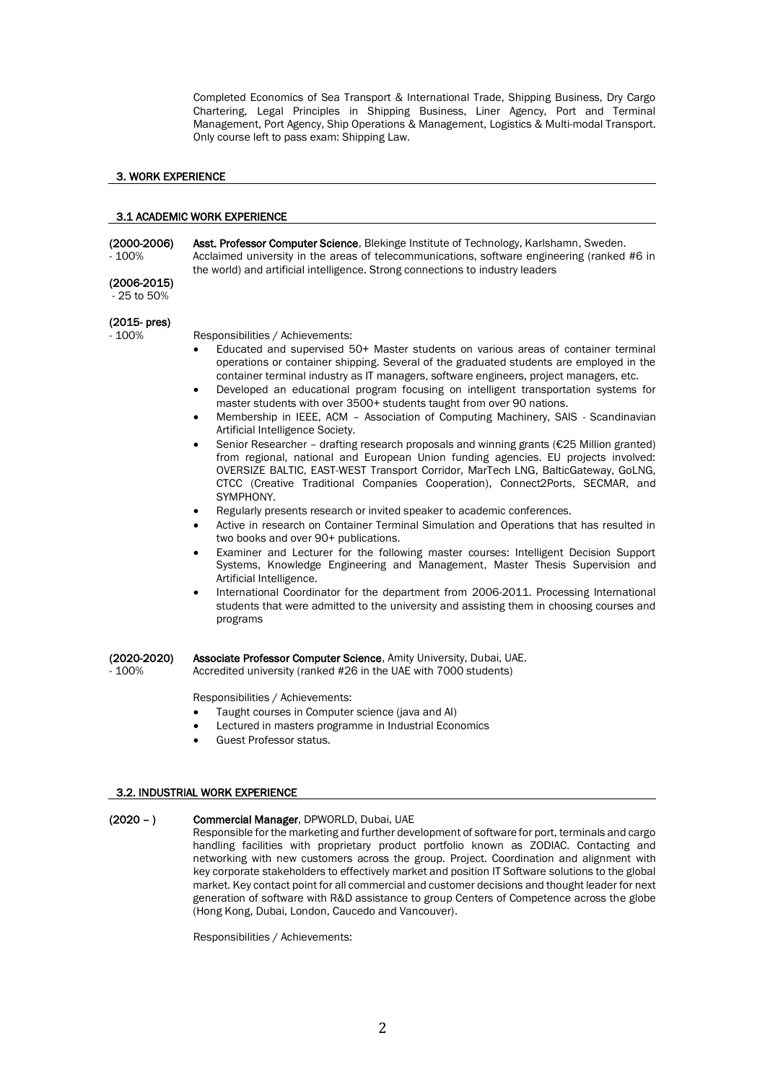Completed Economics of Sea Transport & International Trade, Shipping Business, Dry Cargo Chartering, Legal Principles in Shipping Business, Liner Agency, Port and Terminal Management, Port Agency, Ship Operations & Management, Logistics & Multi-modal Transport. Only course left to pass exam: Shipping Law.

# 3. WORK EXPERIENCE

## 3.1 ACADEMIC WORK EXPERIENCE

(2000-2006) Asst. Professor Computer Science, Blekinge Institute of Technology, Karlshamn, Sweden. - 100% Acclaimed university in the areas of telecommunications, software engineering (ranked #6 in the world) and artificial intelligence. Strong connections to industry leaders

# (2006-2015)

- 25 to 50%

# (2015- pres)

- 100% Responsibilities / Achievements:

- Educated and supervised 50+ Master students on various areas of container terminal operations or container shipping. Several of the graduated students are employed in the container terminal industry as IT managers, software engineers, project managers, etc.
- Developed an educational program focusing on intelligent transportation systems for master students with over 3500+ students taught from over 90 nations.
- Membership in IEEE, ACM Association of Computing Machinery, SAIS Scandinavian Artificial Intelligence Society.
- Senior Researcher drafting research proposals and winning grants (€25 Million granted) from regional, national and European Union funding agencies. EU projects involved: OVERSIZE BALTIC, EAST-WEST Transport Corridor, MarTech LNG, BalticGateway, GoLNG, CTCC (Creative Traditional Companies Cooperation), Connect2Ports, SECMAR, and SYMPHONY.
- Regularly presents research or invited speaker to academic conferences.
- Active in research on Container Terminal Simulation and Operations that has resulted in two books and over 90+ publications.
- Examiner and Lecturer for the following master courses: Intelligent Decision Support Systems, Knowledge Engineering and Management, Master Thesis Supervision and Artificial Intelligence.
- International Coordinator for the department from 2006-2011. Processing International students that were admitted to the university and assisting them in choosing courses and programs

(2020-2020) Associate Professor Computer Science, Amity University, Dubai, UAE.<br>- 100% Accredited university (ranked #26 in the UAE with 7000 students)

Accredited university (ranked #26 in the UAE with 7000 students)

Responsibilities / Achievements:

- Taught courses in Computer science (java and AI)
- Lectured in masters programme in Industrial Economics
- Guest Professor status.

## 3.2. INDUSTRIAL WORK EXPERIENCE

## (2020 - ) Commercial Manager, DPWORLD, Dubai, UAE

Responsible for the marketing and further development of software for port, terminals and cargo handling facilities with proprietary product portfolio known as ZODIAC. Contacting and networking with new customers across the group. Project. Coordination and alignment with key corporate stakeholders to effectively market and position IT Software solutions to the global market. Key contact point for all commercial and customer decisions and thought leader for next generation of software with R&D assistance to group Centers of Competence across the globe (Hong Kong, Dubai, London, Caucedo and Vancouver).

Responsibilities / Achievements: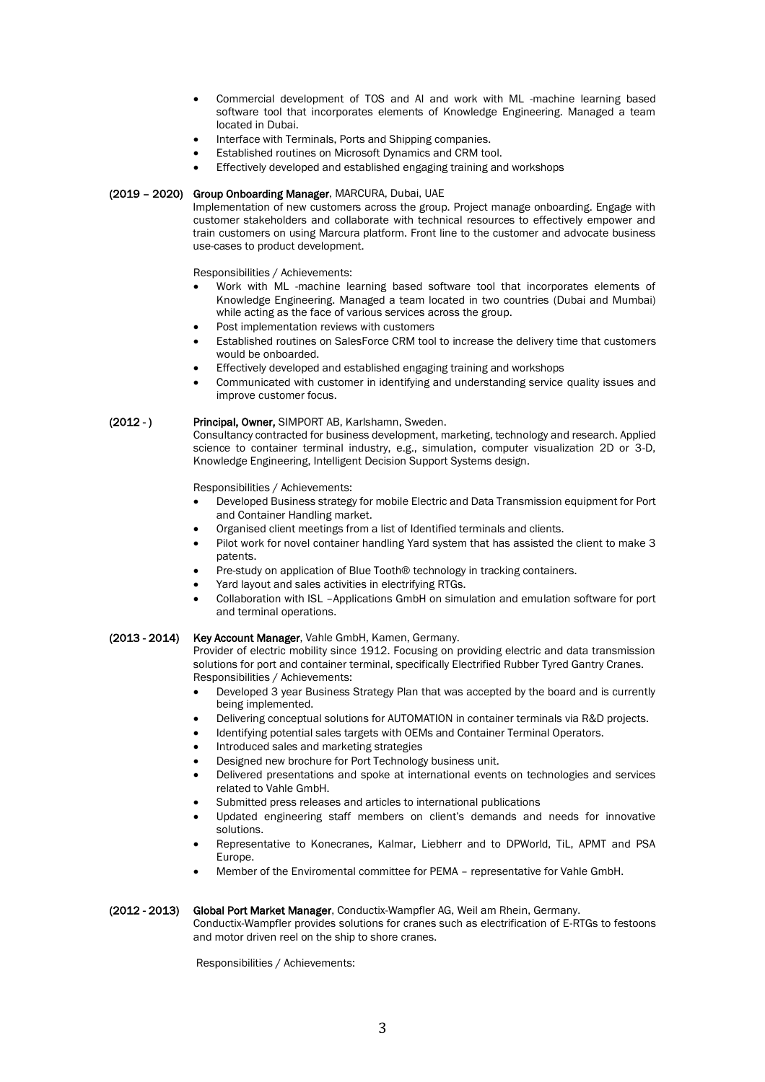- Commercial development of TOS and AI and work with ML -machine learning based software tool that incorporates elements of Knowledge Engineering. Managed a team located in Dubai.
- Interface with Terminals, Ports and Shipping companies.
- Established routines on Microsoft Dynamics and CRM tool.
- Effectively developed and established engaging training and workshops

## (2019 – 2020) Group Onboarding Manager, MARCURA, Dubai, UAE

Implementation of new customers across the group. Project manage onboarding. Engage with customer stakeholders and collaborate with technical resources to effectively empower and train customers on using Marcura platform. Front line to the customer and advocate business use-cases to product development.

Responsibilities / Achievements:

- Work with ML -machine learning based software tool that incorporates elements of Knowledge Engineering. Managed a team located in two countries (Dubai and Mumbai) while acting as the face of various services across the group.
- Post implementation reviews with customers
- Established routines on SalesForce CRM tool to increase the delivery time that customers would be onboarded.
- Effectively developed and established engaging training and workshops
- Communicated with customer in identifying and understanding service quality issues and improve customer focus.

## (2012 - ) Principal, Owner, SIMPORT AB, Karlshamn, Sweden.

Consultancy contracted for business development, marketing, technology and research. Applied science to container terminal industry, e.g., simulation, computer visualization 2D or 3-D, Knowledge Engineering, Intelligent Decision Support Systems design.

Responsibilities / Achievements:

- Developed Business strategy for mobile Electric and Data Transmission equipment for Port and Container Handling market.
- Organised client meetings from a list of Identified terminals and clients.
- Pilot work for novel container handling Yard system that has assisted the client to make 3 patents.
- Pre-study on application of Blue Tooth® technology in tracking containers.
- Yard layout and sales activities in electrifying RTGs.
- Collaboration with ISL –Applications GmbH on simulation and emulation software for port and terminal operations.

#### (2013 - 2014) Key Account Manager, Vahle GmbH, Kamen, Germany.

Provider of electric mobility since 1912. Focusing on providing electric and data transmission solutions for port and container terminal, specifically Electrified Rubber Tyred Gantry Cranes. Responsibilities / Achievements:

- Developed 3 year Business Strategy Plan that was accepted by the board and is currently being implemented.
- Delivering conceptual solutions for AUTOMATION in container terminals via R&D projects.
- Identifying potential sales targets with OEMs and Container Terminal Operators.
- Introduced sales and marketing strategies
- Designed new brochure for Port Technology business unit.
- Delivered presentations and spoke at international events on technologies and services related to Vahle GmbH.
- Submitted press releases and articles to international publications
- Updated engineering staff members on client's demands and needs for innovative solutions.
- Representative to Konecranes, Kalmar, Liebherr and to DPWorld, TiL, APMT and PSA Europe.
- Member of the Enviromental committee for PEMA representative for Vahle GmbH.

#### (2012 - 2013) Global Port Market Manager, Conductix-Wampfler AG, Weil am Rhein, Germany.

Conductix-Wampfler provides solutions for cranes such as electrification of E-RTGs to festoons and motor driven reel on the ship to shore cranes.

Responsibilities / Achievements: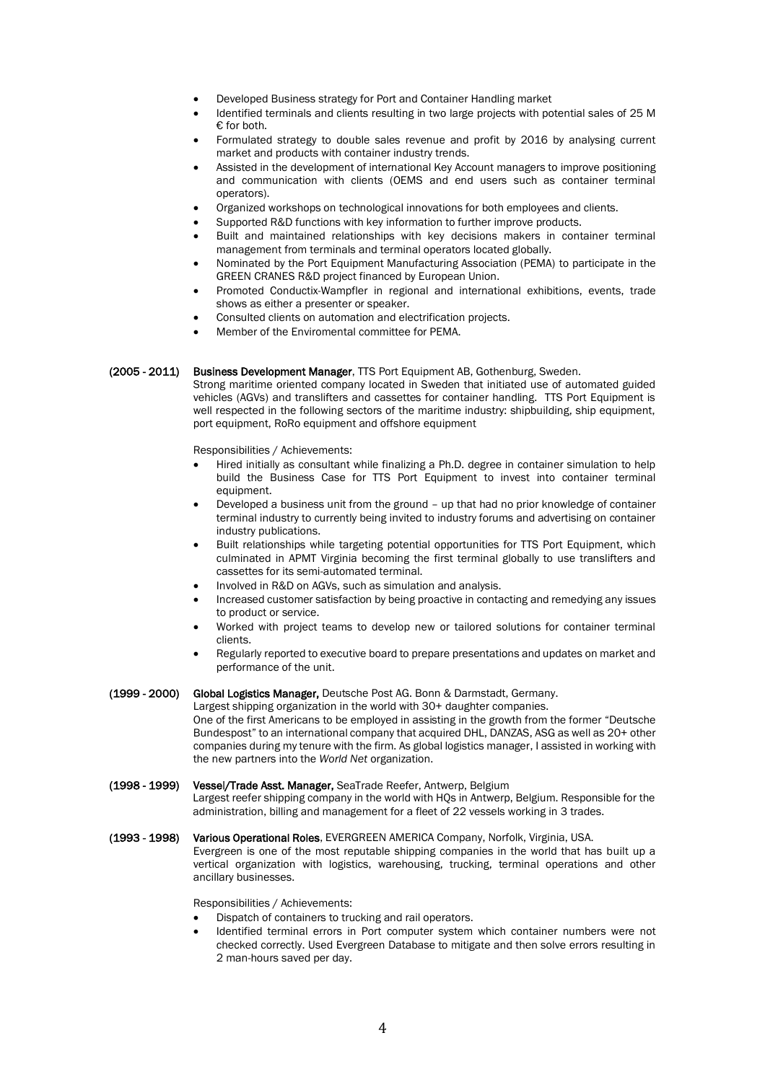- Developed Business strategy for Port and Container Handling market
- Identified terminals and clients resulting in two large projects with potential sales of 25 M € for both.
- Formulated strategy to double sales revenue and profit by 2016 by analysing current market and products with container industry trends.
- Assisted in the development of international Key Account managers to improve positioning and communication with clients (OEMS and end users such as container terminal operators).
- Organized workshops on technological innovations for both employees and clients.
- Supported R&D functions with key information to further improve products.
- Built and maintained relationships with key decisions makers in container terminal management from terminals and terminal operators located globally.
- Nominated by the Port Equipment Manufacturing Association (PEMA) to participate in the GREEN CRANES R&D project financed by European Union.
- Promoted Conductix-Wampfler in regional and international exhibitions, events, trade shows as either a presenter or speaker.
- Consulted clients on automation and electrification projects.
- Member of the Enviromental committee for PEMA.

## (2005 - 2011) Business Development Manager, TTS Port Equipment AB, Gothenburg, Sweden.

Strong maritime oriented company located in Sweden that initiated use of automated guided vehicles (AGVs) and translifters and cassettes for container handling. TTS Port Equipment is well respected in the following sectors of the maritime industry: shipbuilding, ship equipment, port equipment, RoRo equipment and offshore equipment

Responsibilities / Achievements:

- Hired initially as consultant while finalizing a Ph.D. degree in container simulation to help build the Business Case for TTS Port Equipment to invest into container terminal equipment.
- Developed a business unit from the ground up that had no prior knowledge of container terminal industry to currently being invited to industry forums and advertising on container industry publications.
- Built relationships while targeting potential opportunities for TTS Port Equipment, which culminated in APMT Virginia becoming the first terminal globally to use translifters and cassettes for its semi-automated terminal.
- Involved in R&D on AGVs, such as simulation and analysis.
- Increased customer satisfaction by being proactive in contacting and remedying any issues to product or service.
- Worked with project teams to develop new or tailored solutions for container terminal clients.
- Regularly reported to executive board to prepare presentations and updates on market and performance of the unit.

(1999 - 2000) Global Logistics Manager, Deutsche Post AG. Bonn & Darmstadt, Germany.

Largest shipping organization in the world with 30+ daughter companies.

One of the first Americans to be employed in assisting in the growth from the former "Deutsche Bundespost" to an international company that acquired DHL, DANZAS, ASG as well as 20+ other companies during my tenure with the firm. As global logistics manager, I assisted in working with the new partners into the *World Net* organization.

#### (1998 - 1999) Vessel/Trade Asst. Manager, SeaTrade Reefer, Antwerp, Belgium

Largest reefer shipping company in the world with HQs in Antwerp, Belgium. Responsible for the administration, billing and management for a fleet of 22 vessels working in 3 trades.

# (1993 - 1998) Various Operational Roles, EVERGREEN AMERICA Company, Norfolk, Virginia, USA.

Evergreen is one of the most reputable shipping companies in the world that has built up a vertical organization with logistics, warehousing, trucking, terminal operations and other ancillary businesses.

Responsibilities / Achievements:

- Dispatch of containers to trucking and rail operators.
- Identified terminal errors in Port computer system which container numbers were not checked correctly. Used Evergreen Database to mitigate and then solve errors resulting in 2 man-hours saved per day.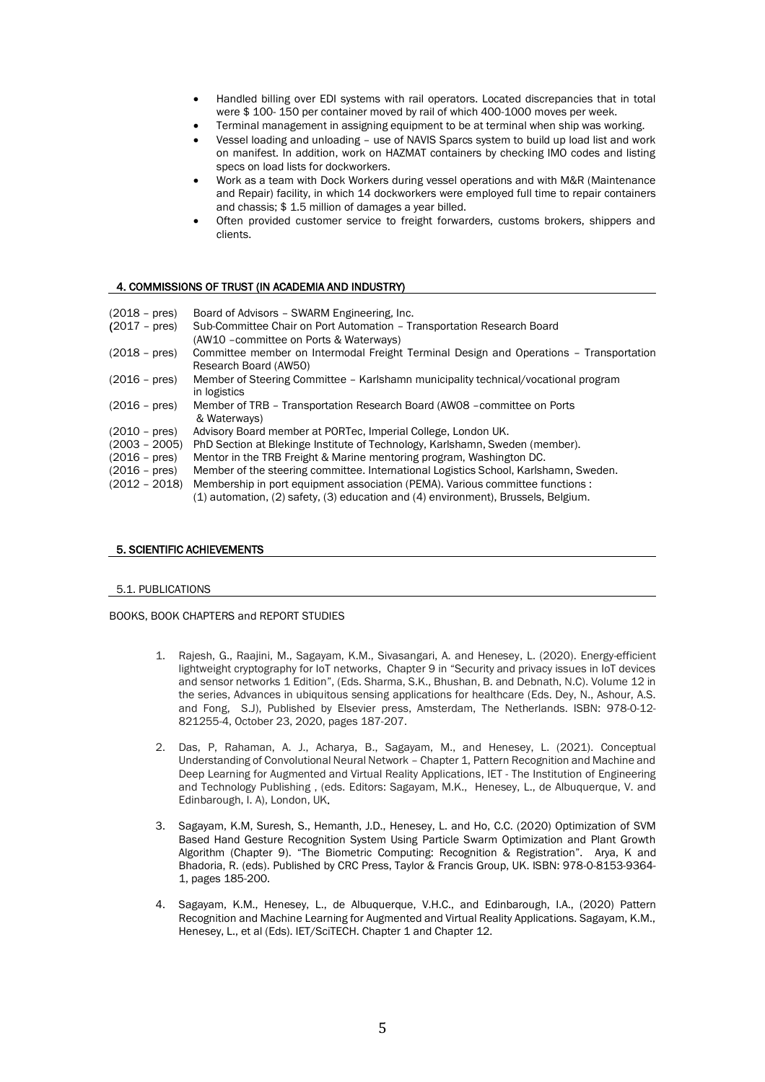- Handled billing over EDI systems with rail operators. Located discrepancies that in total were \$ 100- 150 per container moved by rail of which 400-1000 moves per week.
- Terminal management in assigning equipment to be at terminal when ship was working.
- Vessel loading and unloading use of NAVIS Sparcs system to build up load list and work on manifest. In addition, work on HAZMAT containers by checking IMO codes and listing specs on load lists for dockworkers.
- Work as a team with Dock Workers during vessel operations and with M&R (Maintenance and Repair) facility, in which 14 dockworkers were employed full time to repair containers and chassis; \$ 1.5 million of damages a year billed.
- Often provided customer service to freight forwarders, customs brokers, shippers and clients.

# 4. COMMISSIONS OF TRUST (IN ACADEMIA AND INDUSTRY)

| $(2018 - \text{pres})$ | Board of Advisors - SWARM Engineering, Inc.<br>Sub-Committee Chair on Port Automation - Transportation Research Board |
|------------------------|-----------------------------------------------------------------------------------------------------------------------|
| $(2017 - \text{pres})$ | (AW10 - committee on Ports & Waterways)                                                                               |
| $(2018 - \text{pres})$ | Committee member on Intermodal Freight Terminal Design and Operations - Transportation<br>Research Board (AW50)       |
| $(2016 - \text{pres})$ | Member of Steering Committee - Karlshamn municipality technical/vocational program<br>in logistics                    |
| $(2016 - pres)$        | Member of TRB - Transportation Research Board (AW08 - committee on Ports<br>& Waterways)                              |
| $(2010 - \text{pres})$ | Advisory Board member at PORTec, Imperial College, London UK.                                                         |
| $(2003 - 2005)$        | PhD Section at Blekinge Institute of Technology, Karlshamn, Sweden (member).                                          |
| $(2016 - \text{pres})$ | Mentor in the TRB Freight & Marine mentoring program, Washington DC.                                                  |
| $(2016 - \text{pres})$ | Member of the steering committee. International Logistics School, Karlshamn, Sweden.                                  |
| $(2012 - 2018)$        | Membership in port equipment association (PEMA). Various committee functions :                                        |
|                        | (1) automation, (2) safety, (3) education and (4) environment), Brussels, Belgium.                                    |
|                        |                                                                                                                       |

## 5. SCIENTIFIC ACHIEVEMENTS

#### 5.1. PUBLICATIONS

#### BOOKS, BOOK CHAPTERS and REPORT STUDIES

- 1. Rajesh, G., Raajini, M., Sagayam, K.M., Sivasangari, A. and Henesey, L. (2020). Energy-efficient lightweight cryptography for IoT networks, Chapter 9 in "Security and privacy issues in IoT devices and sensor networks 1 Edition", (Eds. Sharma, S.K., Bhushan, B. and Debnath, N.C). Volume 12 in the series, Advances in ubiquitous sensing applications for healthcare (Eds. Dey, N., Ashour, A.S. and Fong, S.J), Published by Elsevier press, Amsterdam, The Netherlands. ISBN: 978-0-12- 821255-4, October 23, 2020, pages 187-207.
- 2. Das, P, Rahaman, A. J., Acharya, B., Sagayam, M., and Henesey, L. (2021). Conceptual Understanding of Convolutional Neural Network – Chapter 1, Pattern Recognition and Machine and Deep Learning for Augmented and Virtual Reality Applications, IET - The Institution of Engineering and Technology Publishing , (eds. Editors: Sagayam, M.K., Henesey, L., de Albuquerque, V. and Edinbarough, I. A), London, UK.
- 3. Sagayam, K.M, Suresh, S., Hemanth, J.D., Henesey, L. and Ho, C.C. (2020) Optimization of SVM Based Hand Gesture Recognition System Using Particle Swarm Optimization and Plant Growth Algorithm (Chapter 9). "The Biometric Computing: Recognition & Registration". Arya, K and Bhadoria, R. (eds). Published by CRC Press, Taylor & Francis Group, UK. ISBN: 978-0-8153-9364- 1, pages 185-200.
- 4. Sagayam, K.M., Henesey, L., de Albuquerque, V.H.C., and Edinbarough, I.A., (2020) Pattern Recognition and Machine Learning for Augmented and Virtual Reality Applications. Sagayam, K.M., Henesey, L., et al (Eds). IET/SciTECH. Chapter 1 and Chapter 12.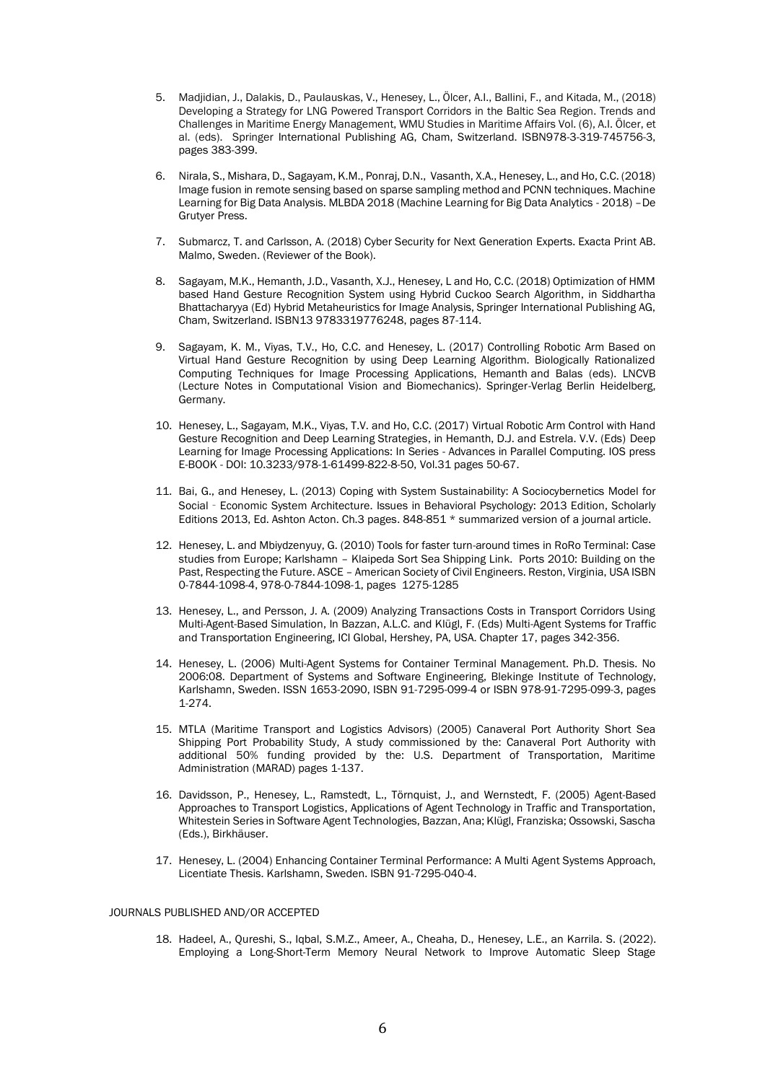- 5. Madjidian, J., Dalakis, D., Paulauskas, V., Henesey, L., Ölcer, A.I., Ballini, F., and Kitada, M., (2018) Developing a Strategy for LNG Powered Transport Corridors in the Baltic Sea Region. Trends and Challenges in Maritime Energy Management, WMU Studies in Maritime Affairs Vol. (6), A.I. Ölcer, et al. (eds). Springer International Publishing AG, Cham, Switzerland. ISBN978-3-319-745756-3, pages 383-399.
- 6. Nirala, S., Mishara, D., Sagayam, K.M., Ponraj, D.N., Vasanth, X.A., Henesey, L., and Ho, C.C. (2018) Image fusion in remote sensing based on sparse sampling method and PCNN techniques. Machine Learning for Big Data Analysis. MLBDA 2018 (Machine Learning for Big Data Analytics - 2018) –De Grutyer Press.
- 7. Submarcz, T. and Carlsson, A. (2018) Cyber Security for Next Generation Experts. Exacta Print AB. Malmo, Sweden. (Reviewer of the Book).
- 8. Sagayam, M.K., Hemanth, J.D., Vasanth, X.J., Henesey, L and Ho, C.C. (2018) Optimization of HMM based Hand Gesture Recognition System using Hybrid Cuckoo Search Algorithm, in Siddhartha Bhattacharyya (Ed) Hybrid Metaheuristics for Image Analysis, Springer International Publishing AG, Cham, Switzerland. ISBN13 9783319776248, pages 87-114.
- 9. Sagayam, K. M., Viyas, T.V., Ho, C.C. and Henesey, L. (2017) Controlling Robotic Arm Based on Virtual Hand Gesture Recognition by using Deep Learning Algorithm. Biologically Rationalized Computing Techniques for Image Processing Applications, Hemanth and Balas (eds). LNCVB (Lecture Notes in Computational Vision and Biomechanics). Springer-Verlag Berlin Heidelberg, Germany.
- 10. Henesey, L., Sagayam, M.K., Viyas, T.V. and Ho, C.C. (2017) Virtual Robotic Arm Control with Hand Gesture Recognition and Deep Learning Strategies, in Hemanth, D.J. and Estrela. V.V. (Eds) Deep Learning for Image Processing Applications: In Series - Advances in Parallel Computing. IOS press E-BOOK - DOI: 10.3233/978-1-61499-822-8-50, Vol.31 pages 50-67.
- 11. Bai, G., and Henesey, L. (2013) Coping with System Sustainability: A Sociocybernetics Model for Social‐Economic System Architecture. Issues in Behavioral Psychology: 2013 Edition, Scholarly Editions 2013, Ed. Ashton Acton. Ch.3 pages. 848-851 \* summarized version of a journal article.
- 12. Henesey, L. and Mbiydzenyuy, G. (2010) Tools for faster turn-around times in RoRo Terminal: Case studies from Europe; Karlshamn – Klaipeda Sort Sea Shipping Link. Ports 2010: Building on the Past, Respecting the Future. ASCE – American Society of Civil Engineers. Reston, Virginia, USA ISBN 0-7844-1098-4, 978-0-7844-1098-1, pages 1275-1285
- 13. Henesey, L., and Persson, J. A. (2009) Analyzing Transactions Costs in Transport Corridors Using Multi-Agent-Based Simulation, In Bazzan, A.L.C. and Klügl, F. (Eds) Multi-Agent Systems for Traffic and Transportation Engineering, ICI Global, Hershey, PA, USA. Chapter 17, pages 342-356.
- 14. Henesey, L. (2006) Multi-Agent Systems for Container Terminal Management. Ph.D. Thesis. No 2006:08. Department of Systems and Software Engineering, Blekinge Institute of Technology, Karlshamn, Sweden. ISSN 1653-2090, ISBN 91-7295-099-4 or ISBN 978-91-7295-099-3, pages 1-274.
- 15. MTLA (Maritime Transport and Logistics Advisors) (2005) Canaveral Port Authority Short Sea Shipping Port Probability Study, A study commissioned by the: Canaveral Port Authority with additional 50% funding provided by the: U.S. Department of Transportation, Maritime Administration (MARAD) pages 1-137.
- 16. Davidsson, P., Henesey, L., Ramstedt, L., Törnquist, J., and Wernstedt, F. (2005) Agent-Based Approaches to Transport Logistics, Applications of Agent Technology in Traffic and Transportation, Whitestein Series in Software Agent Technologies, Bazzan, Ana; Klügl, Franziska; Ossowski, Sascha (Eds.), Birkhäuser.
- 17. Henesey, L. (2004) Enhancing Container Terminal Performance: A Multi Agent Systems Approach, Licentiate Thesis. Karlshamn, Sweden. ISBN 91-7295-040-4.

## JOURNALS PUBLISHED AND/OR ACCEPTED

18. Hadeel, A., Qureshi, S., Iqbal, S.M.Z., Ameer, A., Cheaha, D., Henesey, L.E., an Karrila. S. (2022). Employing a Long-Short-Term Memory Neural Network to Improve Automatic Sleep Stage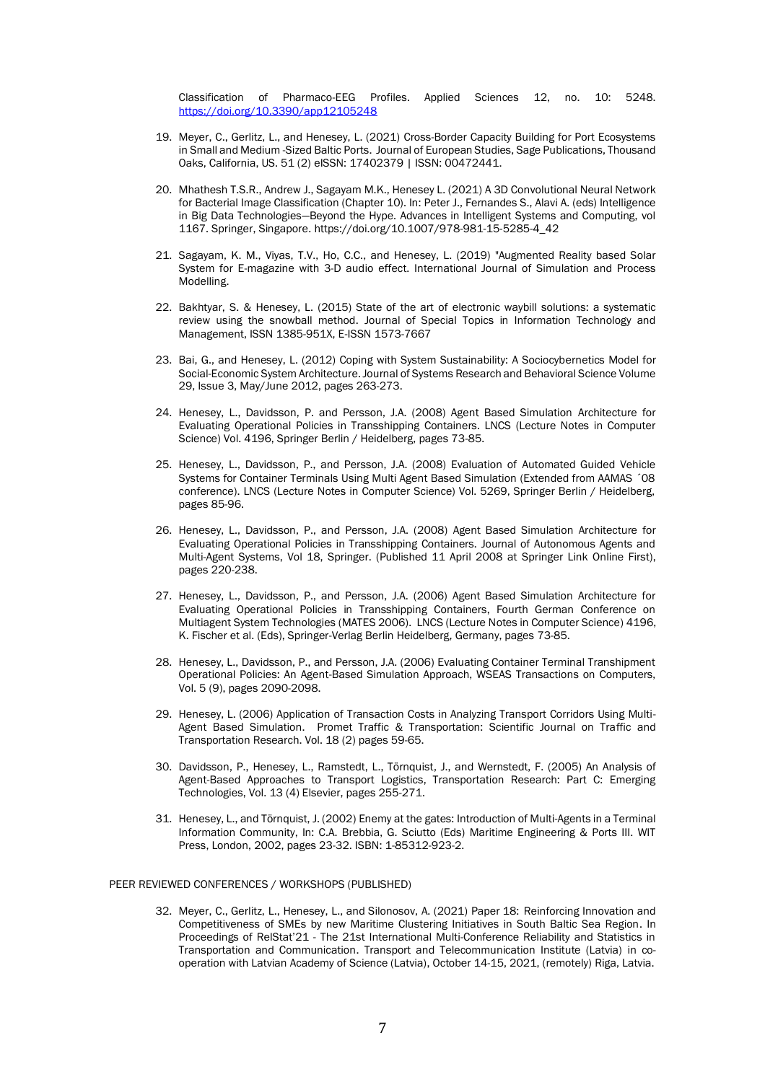Classification of Pharmaco-EEG Profiles. Applied Sciences 12, no. 10: 5248. <https://doi.org/10.3390/app12105248>

- 19. Meyer, C., Gerlitz, L., and Henesey, L. (2021) Cross-Border Capacity Building for Port Ecosystems in Small and Medium -Sized Baltic Ports. Journal of European Studies, Sage Publications, Thousand Oaks, California, US. 51 (2) eISSN: 17402379 | ISSN: 00472441.
- 20. Mhathesh T.S.R., Andrew J., Sagayam M.K., Henesey L. (2021) A 3D Convolutional Neural Network for Bacterial Image Classification (Chapter 10). In: Peter J., Fernandes S., Alavi A. (eds) Intelligence in Big Data Technologies—Beyond the Hype. Advances in Intelligent Systems and Computing, vol 1167. Springer, Singapore. https://doi.org/10.1007/978-981-15-5285-4\_42
- 21. Sagayam, K. M., Viyas, T.V., Ho, C.C., and Henesey, L. (2019) "Augmented Reality based Solar System for E-magazine with 3-D audio effect. International Journal of Simulation and Process Modelling.
- 22. Bakhtyar, S. & Henesey, L. (2015) State of the art of electronic waybill solutions: a systematic review using the snowball method. Journal of Special Topics in Information Technology and Management, ISSN 1385-951X, E-ISSN 1573-7667
- 23. Bai, G., and Henesey, L. (2012) Coping with System Sustainability: A Sociocybernetics Model for Social-Economic System Architecture. Journal of Systems Research and Behavioral Science Volume 29, Issue 3, May/June 2012, pages 263-273.
- 24. Henesey, L., Davidsson, P. and Persson, J.A. (2008) Agent Based Simulation Architecture for Evaluating Operational Policies in Transshipping Containers. LNCS (Lecture Notes in Computer Science) Vol. 4196, Springer Berlin / Heidelberg, pages 73-85.
- 25. Henesey, L., Davidsson, P., and Persson, J.A. (2008) Evaluation of Automated Guided Vehicle Systems for Container Terminals Using Multi Agent Based Simulation (Extended from AAMAS ´08 conference). LNCS (Lecture Notes in Computer Science) Vol. 5269, Springer Berlin / Heidelberg, pages 85-96.
- 26. Henesey, L., Davidsson, P., and Persson, J.A. (2008) Agent Based Simulation Architecture for Evaluating Operational Policies in Transshipping Containers. Journal of Autonomous Agents and Multi-Agent Systems, Vol 18, Springer. (Published 11 April 2008 at Springer Link Online First), pages 220-238.
- 27. Henesey, L., Davidsson, P., and Persson, J.A. (2006) Agent Based Simulation Architecture for Evaluating Operational Policies in Transshipping Containers, Fourth German Conference on Multiagent System Technologies (MATES 2006). LNCS (Lecture Notes in Computer Science) 4196, K. Fischer et al. (Eds), Springer-Verlag Berlin Heidelberg, Germany, pages 73-85.
- 28. Henesey, L., Davidsson, P., and Persson, J.A. (2006) Evaluating Container Terminal Transhipment Operational Policies: An Agent-Based Simulation Approach, WSEAS Transactions on Computers, Vol. 5 (9), pages 2090-2098.
- 29. Henesey, L. (2006) Application of Transaction Costs in Analyzing Transport Corridors Using Multi-Agent Based Simulation. Promet Traffic & Transportation: Scientific Journal on Traffic and Transportation Research. Vol. 18 (2) pages 59-65.
- 30. Davidsson, P., Henesey, L., Ramstedt, L., Törnquist, J., and Wernstedt, F. (2005) An Analysis of Agent-Based Approaches to Transport Logistics, Transportation Research: Part C: Emerging Technologies, Vol. 13 (4) Elsevier, pages 255-271.
- 31. Henesey, L., and Törnquist, J. (2002) Enemy at the gates: Introduction of Multi-Agents in a Terminal Information Community, In: C.A. Brebbia, G. Sciutto (Eds) Maritime Engineering & Ports III. WIT Press, London, 2002, pages 23-32. ISBN: 1-85312-923-2.

# PEER REVIEWED CONFERENCES / WORKSHOPS (PUBLISHED)

32. Meyer, C., Gerlitz, L., Henesey, L., and Silonosov, A. (2021) Paper 18: Reinforcing Innovation and Competitiveness of SMEs by new Maritime Clustering Initiatives in South Baltic Sea Region. In Proceedings of RelStat'21 - The 21st International Multi-Conference Reliability and Statistics in Transportation and Communication. Transport and Telecommunication Institute (Latvia) in cooperation with Latvian Academy of Science (Latvia), October 14-15, 2021, (remotely) Riga, Latvia.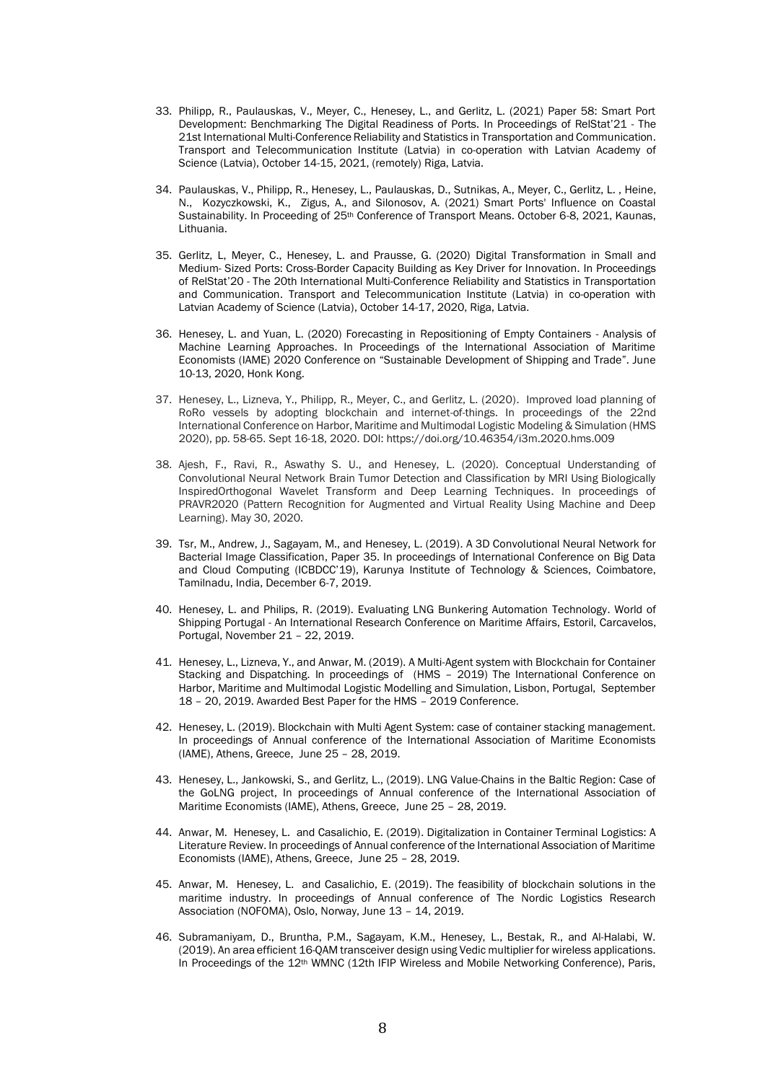- 33. Philipp, R., Paulauskas, V., Meyer, C., Henesey, L., and Gerlitz, L. (2021) Paper 58: Smart Port Development: Benchmarking The Digital Readiness of Ports. In Proceedings of RelStat'21 - The 21st International Multi-Conference Reliability and Statistics in Transportation and Communication. Transport and Telecommunication Institute (Latvia) in co-operation with Latvian Academy of Science (Latvia), October 14-15, 2021, (remotely) Riga, Latvia.
- 34. Paulauskas, V., Philipp, R., Henesey, L., Paulauskas, D., Sutnikas, A., Meyer, C., Gerlitz, L. , Heine, N., Kozyczkowski, K., Zigus, A., and Silonosov, A. (2021) Smart Ports' Influence on Coastal Sustainability. In Proceeding of 25<sup>th</sup> Conference of Transport Means. October 6-8, 2021, Kaunas, Lithuania.
- 35. Gerlitz, L, Meyer, C., Henesey, L. and Prausse, G. (2020) Digital Transformation in Small and Medium- Sized Ports: Cross-Border Capacity Building as Key Driver for Innovation. In Proceedings of RelStat'20 - The 20th International Multi-Conference Reliability and Statistics in Transportation and Communication. Transport and Telecommunication Institute (Latvia) in co-operation with Latvian Academy of Science (Latvia), October 14-17, 2020, Riga, Latvia.
- 36. Henesey, L. and Yuan, L. (2020) Forecasting in Repositioning of Empty Containers Analysis of Machine Learning Approaches. In Proceedings of the International Association of Maritime Economists (IAME) 2020 Conference on "Sustainable Development of Shipping and Trade". June 10-13, 2020, Honk Kong.
- 37. Henesey, L., Lizneva, Y., Philipp, R., Meyer, C., and Gerlitz, L. (2020). Improved load planning of RoRo vessels by adopting blockchain and internet-of-things. In proceedings of the 22nd International Conference on Harbor, Maritime and Multimodal Logistic Modeling & Simulation (HMS 2020), pp. 58-65. Sept 16-18, 2020. DOI: https://doi.org/10.46354/i3m.2020.hms.009
- 38. Ajesh, F., Ravi, R., Aswathy S. U., and Henesey, L. (2020). Conceptual Understanding of Convolutional Neural Network Brain Tumor Detection and Classification by MRI Using Biologically InspiredOrthogonal Wavelet Transform and Deep Learning Techniques. In proceedings of PRAVR2020 (Pattern Recognition for Augmented and Virtual Reality Using Machine and Deep Learning). May 30, 2020.
- 39. Tsr, M., Andrew, J., Sagayam, M., and Henesey, L. (2019). A 3D Convolutional Neural Network for Bacterial Image Classification, Paper 35. In proceedings of International Conference on Big Data and Cloud Computing (ICBDCC'19), Karunya Institute of Technology & Sciences, Coimbatore, Tamilnadu, India, December 6-7, 2019.
- 40. Henesey, L. and Philips, R. (2019). Evaluating LNG Bunkering Automation Technology. World of Shipping Portugal - An International Research Conference on Maritime Affairs, Estoril, Carcavelos, Portugal, November 21 – 22, 2019.
- 41. Henesey, L., Lizneva, Y., and Anwar, M. (2019). A Multi-Agent system with Blockchain for Container Stacking and Dispatching. In proceedings of (HMS – 2019) The International Conference on Harbor, Maritime and Multimodal Logistic Modelling and Simulation, Lisbon, Portugal, September 18 – 20, 2019. Awarded Best Paper for the HMS – 2019 Conference.
- 42. Henesey, L. (2019). Blockchain with Multi Agent System: case of container stacking management. In proceedings of Annual conference of the International Association of Maritime Economists (IAME), Athens, Greece, June 25 – 28, 2019.
- 43. Henesey, L., Jankowski, S., and Gerlitz, L., (2019). LNG Value-Chains in the Baltic Region: Case of the GoLNG project, In proceedings of Annual conference of the International Association of Maritime Economists (IAME), Athens, Greece, June 25 – 28, 2019.
- 44. Anwar, M. Henesey, L. and Casalichio, E. (2019). Digitalization in Container Terminal Logistics: A Literature Review. In proceedings of Annual conference of the International Association of Maritime Economists (IAME), Athens, Greece, June 25 – 28, 2019.
- 45. Anwar, M. Henesey, L. and Casalichio, E. (2019). The feasibility of blockchain solutions in the maritime industry. In proceedings of Annual conference of The Nordic Logistics Research Association (NOFOMA), Oslo, Norway, June 13 – 14, 2019.
- 46. Subramaniyam, D., Bruntha, P.M., Sagayam, K.M., Henesey, L., Bestak, R., and Al-Halabi, W. (2019). An area efficient 16-QAM transceiver design using Vedic multiplier for wireless applications. In Proceedings of the 12<sup>th</sup> WMNC (12th IFIP Wireless and Mobile Networking Conference), Paris,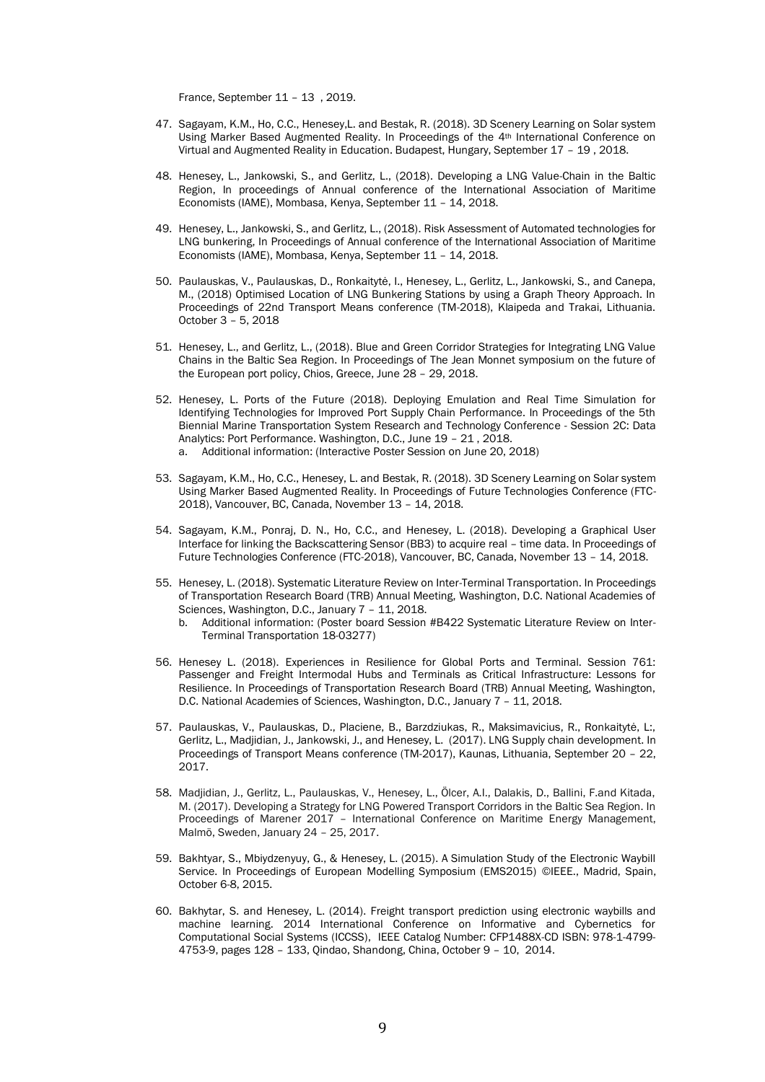France, September 11 – 13 , 2019.

- 47. Sagayam, K.M., Ho, C.C., Henesey,L. and Bestak, R. (2018). 3D Scenery Learning on Solar system Using Marker Based Augmented Reality. In Proceedings of the 4th International Conference on Virtual and Augmented Reality in Education. Budapest, Hungary, September 17 – 19 , 2018.
- 48. Henesey, L., Jankowski, S., and Gerlitz, L., (2018). Developing a LNG Value-Chain in the Baltic Region, In proceedings of Annual conference of the International Association of Maritime Economists (IAME), Mombasa, Kenya, September 11 – 14, 2018.
- 49. Henesey, L., Jankowski, S., and Gerlitz, L., (2018). Risk Assessment of Automated technologies for LNG bunkering, In Proceedings of Annual conference of the International Association of Maritime Economists (IAME), Mombasa, Kenya, September 11 – 14, 2018.
- 50. Paulauskas, V., Paulauskas, D., Ronkaitytė, I., Henesey, L., Gerlitz, L., Jankowski, S., and Canepa, M., (2018) Optimised Location of LNG Bunkering Stations by using a Graph Theory Approach. In Proceedings of 22nd Transport Means conference (TM-2018), Klaipeda and Trakai, Lithuania. October 3 – 5, 2018
- 51. Henesey, L., and Gerlitz, L., (2018). Blue and Green Corridor Strategies for Integrating LNG Value Chains in the Baltic Sea Region. In Proceedings of The Jean Monnet symposium on the future of the European port policy, Chios, Greece, June 28 – 29, 2018.
- 52. Henesey, L. Ports of the Future (2018). Deploying Emulation and Real Time Simulation for Identifying Technologies for Improved Port Supply Chain Performance. In Proceedings of the 5th Biennial Marine Transportation System Research and Technology Conference - Session 2C: Data Analytics: Port Performance. Washington, D.C., June 19 – 21 , 2018. a. Additional information: (Interactive Poster Session on June 20, 2018)
- 53. Sagayam, K.M., Ho, C.C., Henesey, L. and Bestak, R. (2018). 3D Scenery Learning on Solar system Using Marker Based Augmented Reality. In Proceedings of Future Technologies Conference (FTC-2018), Vancouver, BC, Canada, November 13 – 14, 2018.
- 54. Sagayam, K.M., Ponraj, D. N., Ho, C.C., and Henesey, L. (2018). Developing a Graphical User Interface for linking the Backscattering Sensor (BB3) to acquire real – time data. In Proceedings of Future Technologies Conference (FTC-2018), Vancouver, BC, Canada, November 13 – 14, 2018.
- 55. Henesey, L. (2018). Systematic Literature Review on Inter-Terminal Transportation. In Proceedings of Transportation Research Board (TRB) Annual Meeting, Washington, D.C. National Academies of Sciences, Washington, D.C., January 7 - 11, 2018.
	- b. Additional information: (Poster board Session #B422 Systematic Literature Review on Inter-Terminal Transportation 18-03277)
- 56. Henesey L. (2018). Experiences in Resilience for Global Ports and Terminal. Session 761: Passenger and Freight Intermodal Hubs and Terminals as Critical Infrastructure: Lessons for Resilience. In Proceedings of Transportation Research Board (TRB) Annual Meeting, Washington, D.C. National Academies of Sciences, Washington, D.C., January 7 – 11, 2018.
- 57. Paulauskas, V., Paulauskas, D., Placiene, B., Barzdziukas, R., Maksimavicius, R., Ronkaitytė, L:, Gerlitz, L., Madjidian, J., Jankowski, J., and Henesey, L. (2017). LNG Supply chain development. In Proceedings of Transport Means conference (TM-2017), Kaunas, Lithuania, September 20 – 22, 2017.
- 58. Madjidian, J., Gerlitz, L., Paulauskas, V., Henesey, L., Ölcer, A.I., Dalakis, D., Ballini, F.and Kitada, M. (2017). Developing a Strategy for LNG Powered Transport Corridors in the Baltic Sea Region. In Proceedings of Marener 2017 – International Conference on Maritime Energy Management, Malmö, Sweden, January 24 – 25, 2017.
- 59. Bakhtyar, S., Mbiydzenyuy, G., & Henesey, L. (2015). A Simulation Study of the Electronic Waybill Service. In Proceedings of European Modelling Symposium (EMS2015) ©IEEE., Madrid, Spain, October 6-8, 2015.
- 60. Bakhytar, S. and Henesey, L. (2014). Freight transport prediction using electronic waybills and machine learning. 2014 International Conference on Informative and Cybernetics for Computational Social Systems (ICCSS), IEEE Catalog Number: CFP1488X-CD ISBN: 978-1-4799- 4753-9, pages 128 – 133, Qindao, Shandong, China, October 9 – 10, 2014.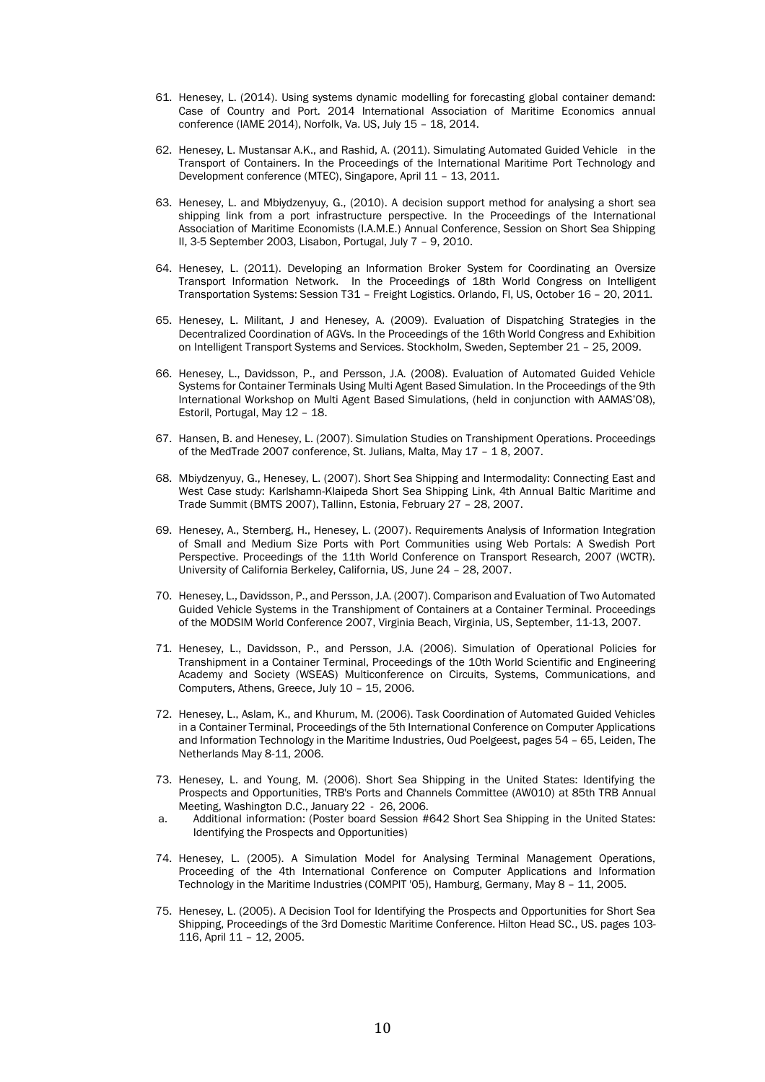- 61. Henesey, L. (2014). Using systems dynamic modelling for forecasting global container demand: Case of Country and Port. 2014 International Association of Maritime Economics annual conference (IAME 2014), Norfolk, Va. US, July 15 – 18, 2014.
- 62. Henesey, L. Mustansar A.K., and Rashid, A. (2011). Simulating Automated Guided Vehicle in the Transport of Containers. In the Proceedings of the International Maritime Port Technology and Development conference (MTEC), Singapore, April 11 – 13, 2011.
- 63. Henesey, L. and Mbiydzenyuy, G., (2010). A decision support method for analysing a short sea shipping link from a port infrastructure perspective. In the Proceedings of the International Association of Maritime Economists (I.A.M.E.) Annual Conference, Session on Short Sea Shipping II, 3-5 September 2003, Lisabon, Portugal, July 7 – 9, 2010.
- 64. Henesey, L. (2011). Developing an Information Broker System for Coordinating an Oversize Transport Information Network. In the Proceedings of 18th World Congress on Intelligent Transportation Systems: Session T31 – Freight Logistics. Orlando, Fl, US, October 16 – 20, 2011.
- 65. Henesey, L. Militant, J and Henesey, A. (2009). Evaluation of Dispatching Strategies in the Decentralized Coordination of AGVs. In the Proceedings of the 16th World Congress and Exhibition on Intelligent Transport Systems and Services. Stockholm, Sweden, September 21 – 25, 2009.
- 66. Henesey, L., Davidsson, P., and Persson, J.A. (2008). Evaluation of Automated Guided Vehicle Systems for Container Terminals Using Multi Agent Based Simulation. In the Proceedings of the 9th International Workshop on Multi Agent Based Simulations, (held in conjunction with AAMAS'08), Estoril, Portugal, May 12 – 18.
- 67. Hansen, B. and Henesey, L. (2007). Simulation Studies on Transhipment Operations. Proceedings of the MedTrade 2007 conference, St. Julians, Malta, May 17 – 1 8, 2007.
- 68. Mbiydzenyuy, G., Henesey, L. (2007). Short Sea Shipping and Intermodality: Connecting East and West Case study: Karlshamn-Klaipeda Short Sea Shipping Link, 4th Annual Baltic Maritime and Trade Summit (BMTS 2007), Tallinn, Estonia, February 27 – 28, 2007.
- 69. Henesey, A., Sternberg, H., Henesey, L. (2007). Requirements Analysis of Information Integration of Small and Medium Size Ports with Port Communities using Web Portals: A Swedish Port Perspective. Proceedings of the 11th World Conference on Transport Research, 2007 (WCTR). University of California Berkeley, California, US, June 24 – 28, 2007.
- 70. Henesey, L., Davidsson, P., and Persson, J.A. (2007). Comparison and Evaluation of Two Automated Guided Vehicle Systems in the Transhipment of Containers at a Container Terminal. Proceedings of the MODSIM World Conference 2007, Virginia Beach, Virginia, US, September, 11-13, 2007.
- 71. Henesey, L., Davidsson, P., and Persson, J.A. (2006). Simulation of Operational Policies for Transhipment in a Container Terminal, Proceedings of the 10th World Scientific and Engineering Academy and Society (WSEAS) Multiconference on Circuits, Systems, Communications, and Computers, Athens, Greece, July 10 – 15, 2006.
- 72. Henesey, L., Aslam, K., and Khurum, M. (2006). Task Coordination of Automated Guided Vehicles in a Container Terminal, Proceedings of the 5th International Conference on Computer Applications and Information Technology in the Maritime Industries, Oud Poelgeest, pages 54 – 65, Leiden, The Netherlands May 8-11, 2006.
- 73. Henesey, L. and Young, M. (2006). Short Sea Shipping in the United States: Identifying the Prospects and Opportunities, TRB's Ports and Channels Committee (AW010) at 85th TRB Annual Meeting, Washington D.C., January 22 - 26, 2006.
- a. Additional information: (Poster board Session #642 Short Sea Shipping in the United States: Identifying the Prospects and Opportunities)
- 74. Henesey, L. (2005). A Simulation Model for Analysing Terminal Management Operations, Proceeding of the 4th International Conference on Computer Applications and Information Technology in the Maritime Industries (COMPIT '05), Hamburg, Germany, May 8 – 11, 2005.
- 75. Henesey, L. (2005). A Decision Tool for Identifying the Prospects and Opportunities for Short Sea Shipping, Proceedings of the 3rd Domestic Maritime Conference. Hilton Head SC., US. pages 103- 116, April 11 – 12, 2005.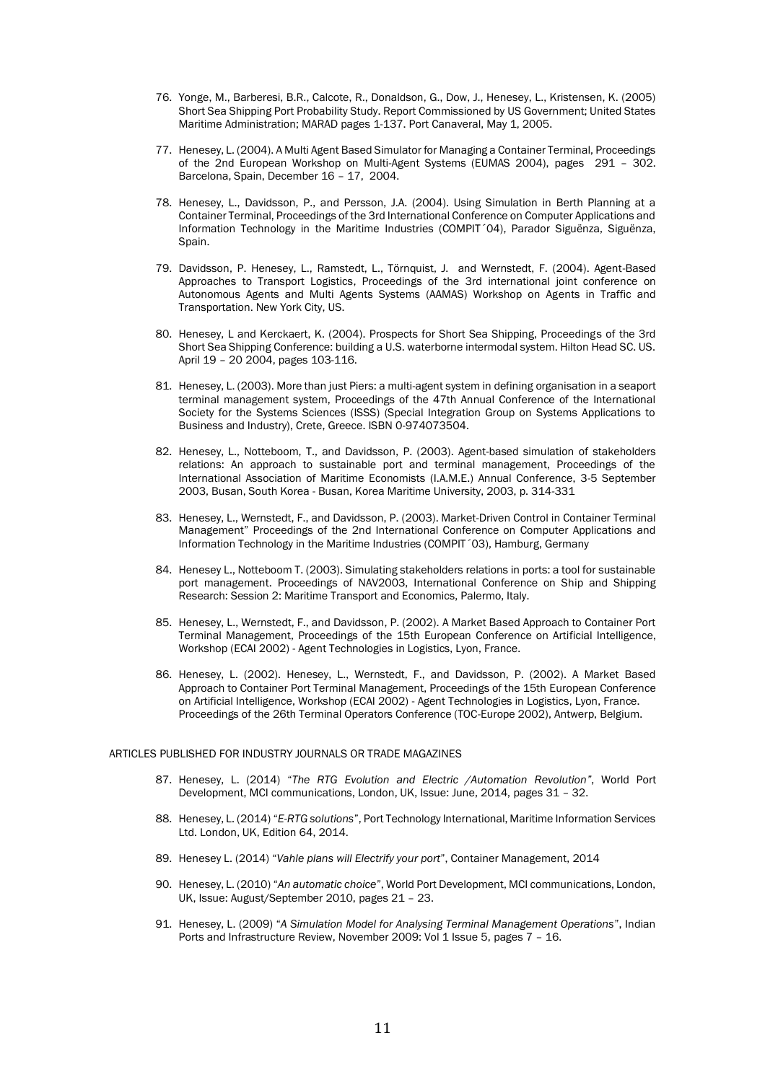- 76. Yonge, M., Barberesi, B.R., Calcote, R., Donaldson, G., Dow, J., Henesey, L., Kristensen, K. (2005) Short Sea Shipping Port Probability Study. Report Commissioned by US Government; United States Maritime Administration; MARAD pages 1-137. Port Canaveral, May 1, 2005.
- 77. Henesey, L. (2004). A Multi Agent Based Simulator for Managing a Container Terminal, Proceedings of the 2nd European Workshop on Multi-Agent Systems (EUMAS 2004), pages 291 – 302. Barcelona, Spain, December 16 – 17, 2004.
- 78. Henesey, L., Davidsson, P., and Persson, J.A. (2004). Using Simulation in Berth Planning at a Container Terminal, Proceedings of the 3rd International Conference on Computer Applications and Information Technology in the Maritime Industries (COMPIT´04), Parador Siguënza, Siguënza, Spain.
- 79. Davidsson, P. Henesey, L., Ramstedt, L., Törnquist, J. and Wernstedt, F. (2004). Agent-Based Approaches to Transport Logistics, Proceedings of the 3rd international joint conference on Autonomous Agents and Multi Agents Systems (AAMAS) Workshop on Agents in Traffic and Transportation. New York City, US.
- 80. Henesey, L and Kerckaert, K. (2004). Prospects for Short Sea Shipping, Proceedings of the 3rd Short Sea Shipping Conference: building a U.S. waterborne intermodal system. Hilton Head SC. US. April 19 – 20 2004, pages 103-116.
- 81. Henesey, L. (2003). More than just Piers: a multi-agent system in defining organisation in a seaport terminal management system, Proceedings of the 47th Annual Conference of the International Society for the Systems Sciences (ISSS) (Special Integration Group on Systems Applications to Business and Industry), Crete, Greece. ISBN 0-974073504.
- 82. Henesey, L., Notteboom, T., and Davidsson, P. (2003). Agent-based simulation of stakeholders relations: An approach to sustainable port and terminal management, Proceedings of the International Association of Maritime Economists (I.A.M.E.) Annual Conference, 3-5 September 2003, Busan, South Korea - Busan, Korea Maritime University, 2003, p. 314-331
- 83. Henesey, L., Wernstedt, F., and Davidsson, P. (2003). Market-Driven Control in Container Terminal Management" Proceedings of the 2nd International Conference on Computer Applications and Information Technology in the Maritime Industries (COMPIT´03), Hamburg, Germany
- 84. Henesey L., Notteboom T. (2003). Simulating stakeholders relations in ports: a tool for sustainable port management. Proceedings of NAV2003, International Conference on Ship and Shipping Research: Session 2: Maritime Transport and Economics, Palermo, Italy.
- 85. Henesey, L., Wernstedt, F., and Davidsson, P. (2002). A Market Based Approach to Container Port Terminal Management, Proceedings of the 15th European Conference on Artificial Intelligence, Workshop (ECAI 2002) - Agent Technologies in Logistics, Lyon, France.
- 86. Henesey, L. (2002). Henesey, L., Wernstedt, F., and Davidsson, P. (2002). A Market Based Approach to Container Port Terminal Management, Proceedings of the 15th European Conference on Artificial Intelligence, Workshop (ECAI 2002) - Agent Technologies in Logistics, Lyon, France. Proceedings of the 26th Terminal Operators Conference (TOC-Europe 2002), Antwerp, Belgium.

#### ARTICLES PUBLISHED FOR INDUSTRY JOURNALS OR TRADE MAGAZINES

- 87. Henesey, L. (2014) "*The RTG Evolution and Electric /Automation Revolution"*, World Port Development, MCI communications, London, UK, Issue: June, 2014, pages 31 – 32.
- 88. Henesey, L. (2014) "*E-RTG solutions*", Port Technology International, Maritime Information Services Ltd. London, UK, Edition 64, 2014.
- 89. Henesey L. (2014) "*Vahle plans will Electrify your port*", Container Management, 2014
- 90. Henesey, L. (2010) "*An automatic choice*", World Port Development, MCI communications, London, UK, Issue: August/September 2010, pages 21 – 23.
- 91. Henesey, L. (2009) "*A Simulation Model for Analysing Terminal Management Operations*", Indian Ports and Infrastructure Review, November 2009: Vol 1 Issue 5, pages 7 - 16.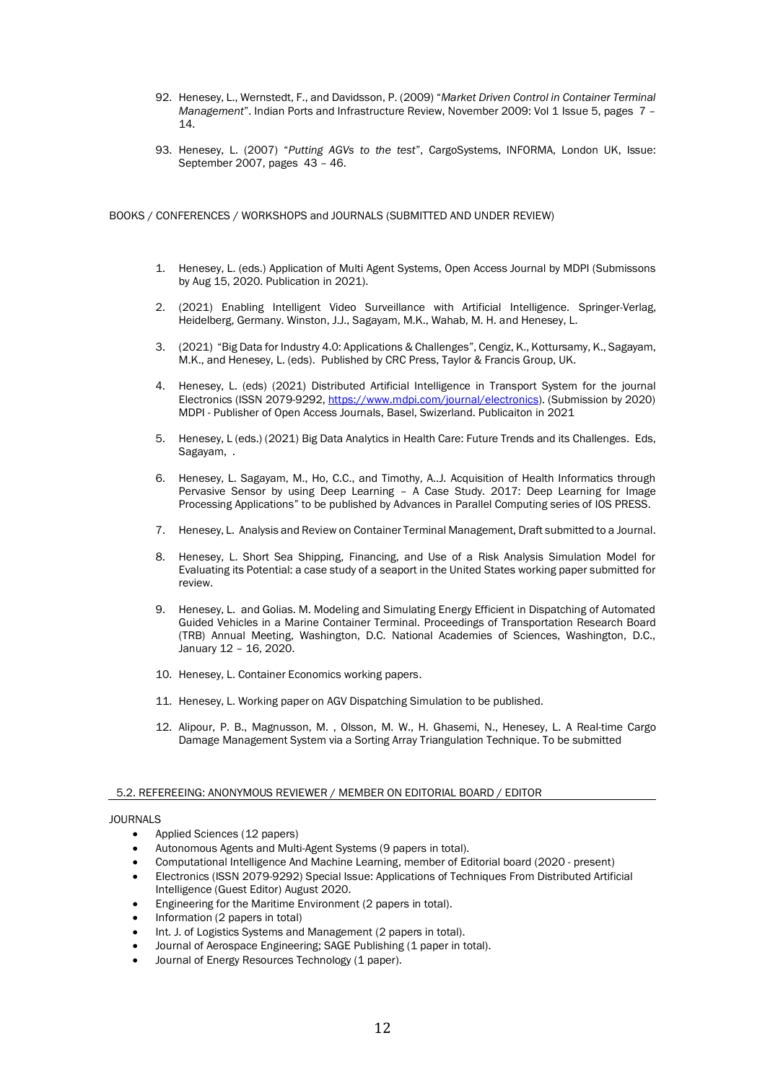- 92. Henesey, L., Wernstedt, F., and Davidsson, P. (2009) "*Market Driven Control in Container Terminal Management*". Indian Ports and Infrastructure Review, November 2009: Vol 1 Issue 5, pages 7 – 14.
- 93. Henesey, L. (2007) "*Putting AGVs to the test*", CargoSystems, INFORMA, London UK, Issue: September 2007, pages 43 – 46.

BOOKS / CONFERENCES / WORKSHOPS and JOURNALS (SUBMITTED AND UNDER REVIEW)

- 1. Henesey, L. (eds.) Application of Multi Agent Systems, Open Access Journal by MDPI (Submissons by Aug 15, 2020. Publication in 2021).
- 2. (2021) Enabling Intelligent Video Surveillance with Artificial Intelligence. Springer-Verlag, Heidelberg, Germany. Winston, J.J., Sagayam, M.K., Wahab, M. H. and Henesey, L.
- 3. (2021) "Big Data for Industry 4.0: Applications & Challenges", Cengiz, K., Kottursamy, K., Sagayam, M.K., and Henesey, L. (eds). Published by CRC Press, Taylor & Francis Group, UK.
- 4. Henesey, L. (eds) (2021) Distributed Artificial Intelligence in Transport System for the journal Electronics (ISSN 2079-9292[, https://www.mdpi.com/journal/electronics\)](https://www.mdpi.com/journal/electronics). (Submission by 2020) MDPI - Publisher of Open Access Journals, Basel, Swizerland. Publicaiton in 2021
- 5. Henesey, L (eds.) (2021) Big Data Analytics in Health Care: Future Trends and its Challenges. Eds, Sagayam, .
- 6. Henesey, L. Sagayam, M., Ho, C.C., and Timothy, A..J. Acquisition of Health Informatics through Pervasive Sensor by using Deep Learning – A Case Study. 2017: Deep Learning for Image Processing Applications" to be published by Advances in Parallel Computing series of IOS PRESS.
- 7. Henesey, L. Analysis and Review on Container Terminal Management, Draft submitted to a Journal.
- 8. Henesey, L. Short Sea Shipping, Financing, and Use of a Risk Analysis Simulation Model for Evaluating its Potential: a case study of a seaport in the United States working paper submitted for review.
- 9. Henesey, L. and Golias. M. Modeling and Simulating Energy Efficient in Dispatching of Automated Guided Vehicles in a Marine Container Terminal. Proceedings of Transportation Research Board (TRB) Annual Meeting, Washington, D.C. National Academies of Sciences, Washington, D.C., January 12 – 16, 2020.
- 10. Henesey, L. Container Economics working papers.
- 11. Henesey, L. Working paper on AGV Dispatching Simulation to be published.
- 12. Alipour, P. B., Magnusson, M. , Olsson, M. W., H. Ghasemi, N., Henesey, L. A Real-time Cargo Damage Management System via a Sorting Array Triangulation Technique. To be submitted

#### 5.2. REFEREEING: ANONYMOUS REVIEWER / MEMBER ON EDITORIAL BOARD / EDITOR

## JOURNALS

- Applied Sciences (12 papers)
- Autonomous Agents and Multi-Agent Systems (9 papers in total).
- Computational Intelligence And Machine Learning, member of Editorial board (2020 present)
- Electronics (ISSN 2079-9292) Special Issue: Applications of Techniques From Distributed Artificial Intelligence (Guest Editor) August 2020.
- Engineering for the Maritime Environment (2 papers in total).
- Information (2 papers in total)
- Int. J. of Logistics Systems and Management (2 papers in total).
- Journal of Aerospace Engineering; SAGE Publishing (1 paper in total).
- Journal of Energy Resources Technology (1 paper).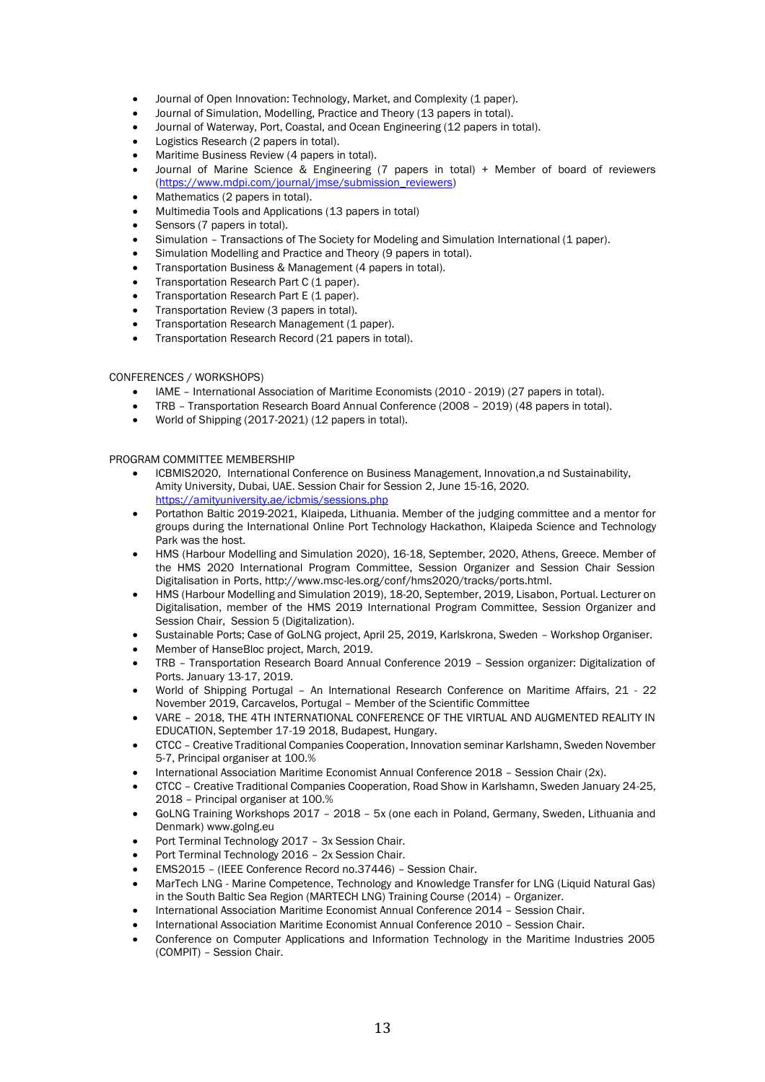- Journal of Open Innovation: Technology, Market, and Complexity (1 paper).
- Journal of Simulation, Modelling, Practice and Theory (13 papers in total).
- Journal of Waterway, Port, Coastal, and Ocean Engineering (12 papers in total).
- Logistics Research (2 papers in total).
- Maritime Business Review (4 papers in total).
- Journal of Marine Science & Engineering (7 papers in total) + Member of board of reviewers [\(https://www.mdpi.com/journal/jmse/submission\\_reviewers\)](https://www.mdpi.com/journal/jmse/submission_reviewers)
- Mathematics (2 papers in total).
- Multimedia Tools and Applications (13 papers in total)
- Sensors (7 papers in total).
- Simulation Transactions of The Society for Modeling and Simulation International (1 paper).
- Simulation Modelling and Practice and Theory (9 papers in total).
- Transportation Business & Management (4 papers in total).
- Transportation Research Part C (1 paper).
- Transportation Research Part E (1 paper).
- Transportation Review (3 papers in total).
- Transportation Research Management (1 paper).
- Transportation Research Record (21 papers in total).

# CONFERENCES / WORKSHOPS)

- IAME International Association of Maritime Economists (2010 2019) (27 papers in total).
- TRB Transportation Research Board Annual Conference (2008 2019) (48 papers in total).
- World of Shipping (2017-2021) (12 papers in total).

## PROGRAM COMMITTEE MEMBERSHIP

- ICBMIS2020, International Conference on Business Management, Innovation,a nd Sustainability, Amity University, Dubai, UAE. Session Chair for Session 2, June 15-16, 2020. <https://amityuniversity.ae/icbmis/sessions.php>
- Portathon Baltic 2019-2021, Klaipeda, Lithuania. Member of the judging committee and a mentor for groups during the International Online Port Technology Hackathon, Klaipeda Science and Technology Park was the host.
- HMS (Harbour Modelling and Simulation 2020), 16-18, September, 2020, Athens, Greece. Member of the HMS 2020 International Program Committee, Session Organizer and Session Chair Session Digitalisation in Ports, http://www.msc-les.org/conf/hms2020/tracks/ports.html.
- HMS (Harbour Modelling and Simulation 2019), 18-20, September, 2019, Lisabon, Portual. Lecturer on Digitalisation, member of the HMS 2019 International Program Committee, Session Organizer and Session Chair, Session 5 (Digitalization).
- Sustainable Ports; Case of GoLNG project, April 25, 2019, Karlskrona, Sweden Workshop Organiser.
- Member of HanseBloc project, March, 2019.
- TRB Transportation Research Board Annual Conference 2019 Session organizer: Digitalization of Ports. January 13-17, 2019.
- World of Shipping Portugal An International Research Conference on Maritime Affairs, 21 22 November 2019, Carcavelos, Portugal – Member of the Scientific Committee
- VARE 2018, THE 4TH INTERNATIONAL CONFERENCE OF THE VIRTUAL AND AUGMENTED REALITY IN EDUCATION, September 17-19 2018, Budapest, Hungary.
- CTCC Creative Traditional Companies Cooperation, Innovation seminar Karlshamn, Sweden November 5-7, Principal organiser at 100.%
- International Association Maritime Economist Annual Conference 2018 Session Chair (2x).
- CTCC Creative Traditional Companies Cooperation, Road Show in Karlshamn, Sweden January 24-25, 2018 – Principal organiser at 100.%
- GoLNG Training Workshops 2017 2018 5x (one each in Poland, Germany, Sweden, Lithuania and Denmark) www.golng.eu
- Port Terminal Technology 2017 3x Session Chair.
- Port Terminal Technology 2016 2x Session Chair.
- EMS2015 (IEEE Conference Record no.37446) Session Chair.
- MarTech LNG Marine Competence, Technology and Knowledge Transfer for LNG (Liquid Natural Gas) in the South Baltic Sea Region (MARTECH LNG) Training Course (2014) – Organizer.
- International Association Maritime Economist Annual Conference 2014 Session Chair.
- International Association Maritime Economist Annual Conference 2010 Session Chair.
- Conference on Computer Applications and Information Technology in the Maritime Industries 2005 (COMPIT) – Session Chair.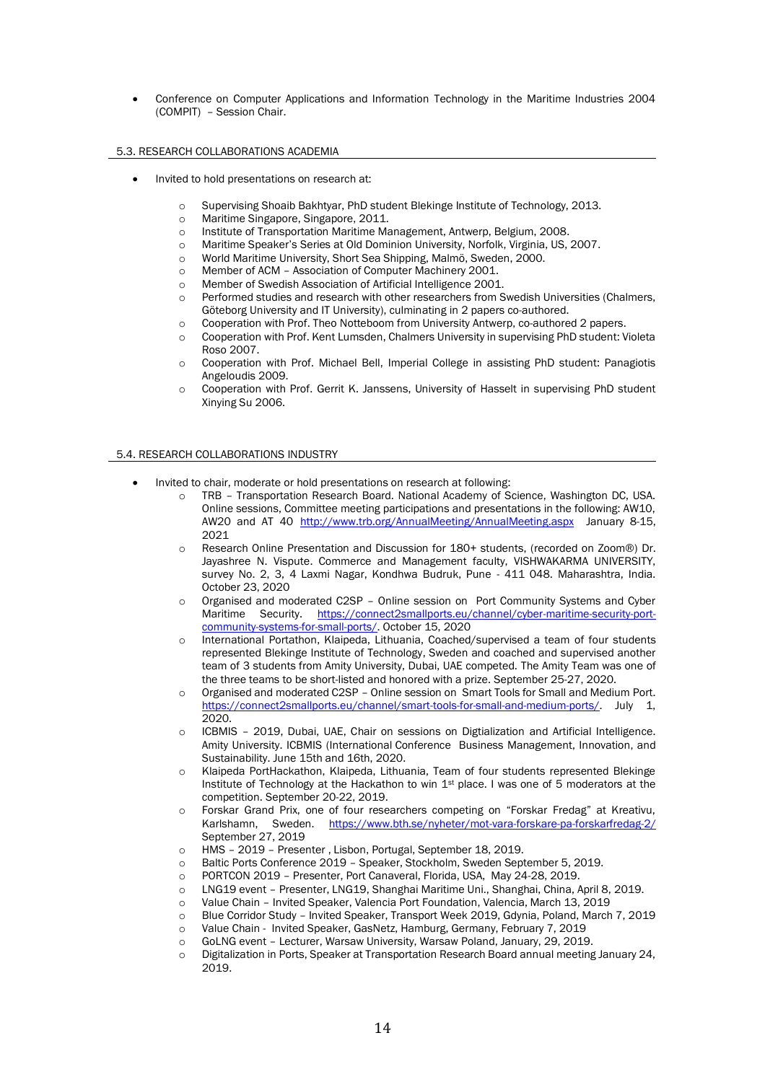• Conference on Computer Applications and Information Technology in the Maritime Industries 2004 (COMPIT) – Session Chair.

## 5.3. RESEARCH COLLABORATIONS ACADEMIA

- Invited to hold presentations on research at:
	- o Supervising Shoaib Bakhtyar, PhD student Blekinge Institute of Technology, 2013.
	- o Maritime Singapore, Singapore, 2011.
	- o Institute of Transportation Maritime Management, Antwerp, Belgium, 2008.
	- o Maritime Speaker's Series at Old Dominion University, Norfolk, Virginia, US, 2007.
	- o World Maritime University, Short Sea Shipping, Malmö, Sweden, 2000.
	- o Member of ACM Association of Computer Machinery 2001.
	- o Member of Swedish Association of Artificial Intelligence 2001.
	- o Performed studies and research with other researchers from Swedish Universities (Chalmers, Göteborg University and IT University), culminating in 2 papers co-authored.
	- o Cooperation with Prof. Theo Notteboom from University Antwerp, co-authored 2 papers.
	- o Cooperation with Prof. Kent Lumsden, Chalmers University in supervising PhD student: Violeta Roso 2007.
	- o Cooperation with Prof. Michael Bell, Imperial College in assisting PhD student: Panagiotis Angeloudis 2009.
	- o Cooperation with Prof. Gerrit K. Janssens, University of Hasselt in supervising PhD student Xinying Su 2006.

## 5.4. RESEARCH COLLABORATIONS INDUSTRY

- Invited to chair, moderate or hold presentations on research at following:
	- o TRB Transportation Research Board. National Academy of Science, Washington DC, USA. Online sessions, Committee meeting participations and presentations in the following: AW10, AW20 and AT 40 <http://www.trb.org/AnnualMeeting/AnnualMeeting.aspx>January 8-15, 2021
	- o Research Online Presentation and Discussion for 180+ students, (recorded on Zoom®) Dr. Jayashree N. Vispute. Commerce and Management faculty, VISHWAKARMA UNIVERSITY, survey No. 2, 3, 4 Laxmi Nagar, Kondhwa Budruk, Pune - 411 048. Maharashtra, India. October 23, 2020
	- o Organised and moderated C2SP Online session on Port Community Systems and Cyber Maritime Security. [https://connect2smallports.eu/channel/cyber-maritime-security-port](https://connect2smallports.eu/channel/cyber-maritime-security-port-community-systems-for-small-ports/)[community-systems-for-small-ports/.](https://connect2smallports.eu/channel/cyber-maritime-security-port-community-systems-for-small-ports/) October 15, 2020
	- o International Portathon, Klaipeda, Lithuania, Coached/supervised a team of four students represented Blekinge Institute of Technology, Sweden and coached and supervised another team of 3 students from Amity University, Dubai, UAE competed. The Amity Team was one of the three teams to be short-listed and honored with a prize. September 25-27, 2020.
	- o Organised and moderated C2SP Online session on Smart Tools for Small and Medium Port. [https://connect2smallports.eu/channel/smart-tools-for-small-and-medium-ports/.](https://connect2smallports.eu/channel/smart-tools-for-small-and-medium-ports/) July 1, 2020.
	- o ICBMIS 2019, Dubai, UAE, Chair on sessions on Digtialization and Artificial Intelligence. Amity University. ICBMIS (International Conference Business Management, Innovation, and Sustainability. June 15th and 16th, 2020.
	- o Klaipeda PortHackathon, Klaipeda, Lithuania, Team of four students represented Blekinge Institute of Technology at the Hackathon to win 1st place. I was one of 5 moderators at the competition. September 20-22, 2019.
	- o Forskar Grand Prix, one of four researchers competing on "Forskar Fredag" at Kreativu, Karlshamn, Sweden. <https://www.bth.se/nyheter/mot-vara-forskare-pa-forskarfredag-2/> September 27, 2019
	- o HMS 2019 Presenter , Lisbon, Portugal, September 18, 2019.
	- o Baltic Ports Conference 2019 Speaker, Stockholm, Sweden September 5, 2019.
	- o PORTCON 2019 Presenter, Port Canaveral, Florida, USA, May 24-28, 2019.
	- o LNG19 event Presenter, LNG19, Shanghai Maritime Uni., Shanghai, China, April 8, 2019.
	- o Value Chain Invited Speaker, Valencia Port Foundation, Valencia, March 13, 2019
	- o Blue Corridor Study Invited Speaker, Transport Week 2019, Gdynia, Poland, March 7, 2019
	- o Value Chain Invited Speaker, GasNetz, Hamburg, Germany, February 7, 2019
	- o GoLNG event Lecturer, Warsaw University, Warsaw Poland, January, 29, 2019.
	- o Digitalization in Ports, Speaker at Transportation Research Board annual meeting January 24, 2019.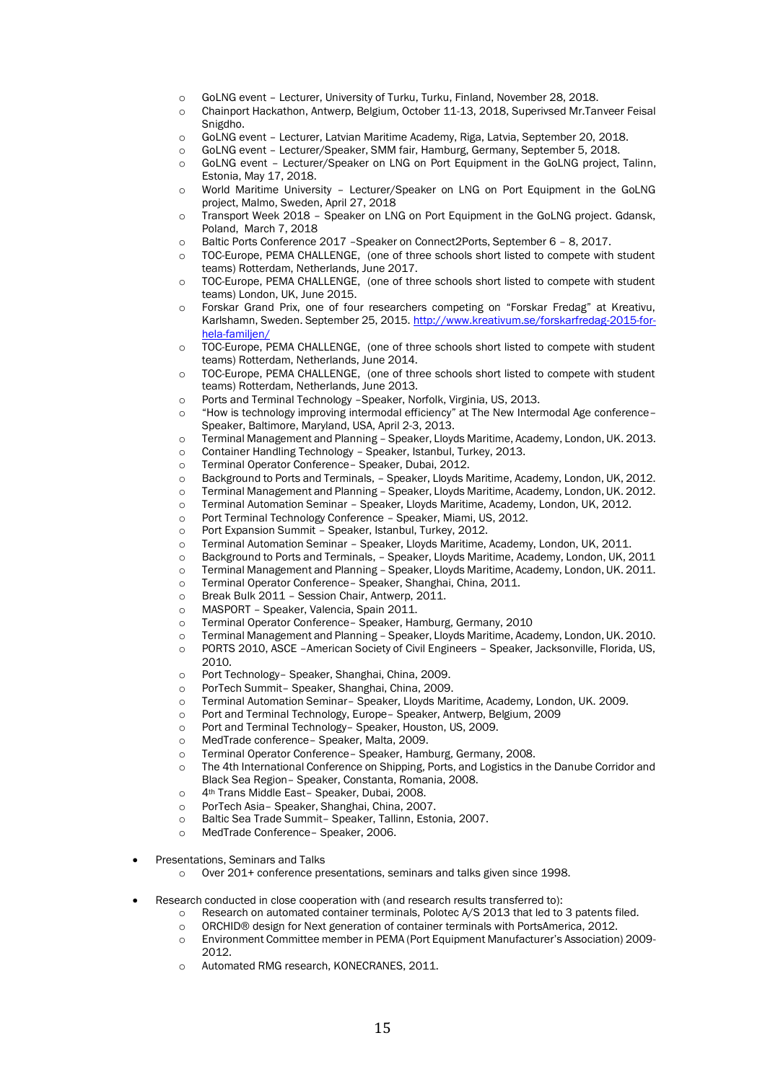- o GoLNG event Lecturer, University of Turku, Turku, Finland, November 28, 2018.
- o Chainport Hackathon, Antwerp, Belgium, October 11-13, 2018, Superivsed Mr.Tanveer Feisal Snigdho.
- o GoLNG event Lecturer, Latvian Maritime Academy, Riga, Latvia, September 20, 2018.
- o GoLNG event Lecturer/Speaker, SMM fair, Hamburg, Germany, September 5, 2018.
- o GoLNG event Lecturer/Speaker on LNG on Port Equipment in the GoLNG project, Talinn, Estonia, May 17, 2018.
- o World Maritime University Lecturer/Speaker on LNG on Port Equipment in the GoLNG project, Malmo, Sweden, April 27, 2018
- o Transport Week 2018 Speaker on LNG on Port Equipment in the GoLNG project. Gdansk, Poland, March 7, 2018
- o Baltic Ports Conference 2017 –Speaker on Connect2Ports, September 6 8, 2017.
- o TOC-Europe, PEMA CHALLENGE, (one of three schools short listed to compete with student teams) Rotterdam, Netherlands, June 2017.
- o TOC-Europe, PEMA CHALLENGE, (one of three schools short listed to compete with student teams) London, UK, June 2015.
- o Forskar Grand Prix, one of four researchers competing on "Forskar Fredag" at Kreativu, Karlshamn, Sweden. September 25, 2015[. http://www.kreativum.se/forskarfredag-2015-for](http://www.kreativum.se/forskarfredag-2015-for-hela-familjen/)[hela-familjen/](http://www.kreativum.se/forskarfredag-2015-for-hela-familjen/)
- o TOC-Europe, PEMA CHALLENGE, (one of three schools short listed to compete with student teams) Rotterdam, Netherlands, June 2014.
- o TOC-Europe, PEMA CHALLENGE, (one of three schools short listed to compete with student teams) Rotterdam, Netherlands, June 2013.
- o Ports and Terminal Technology –Speaker, Norfolk, Virginia, US, 2013.
- o "How is technology improving intermodal efficiency" at The New Intermodal Age conference– Speaker, Baltimore, Maryland, USA, April 2-3, 2013.
- o Terminal Management and Planning Speaker, Lloyds Maritime, Academy, London, UK. 2013.
- o Container Handling Technology Speaker, Istanbul, Turkey, 2013.
- o Terminal Operator Conference– Speaker, Dubai, 2012.
- o Background to Ports and Terminals, Speaker, Lloyds Maritime, Academy, London, UK, 2012.
- o Terminal Management and Planning Speaker, Lloyds Maritime, Academy, London, UK. 2012.
- o Terminal Automation Seminar Speaker, Lloyds Maritime, Academy, London, UK, 2012.
- o Port Terminal Technology Conference Speaker, Miami, US, 2012.
- o Port Expansion Summit Speaker, Istanbul, Turkey, 2012.
- o Terminal Automation Seminar Speaker, Lloyds Maritime, Academy, London, UK, 2011.
- o Background to Ports and Terminals, Speaker, Lloyds Maritime, Academy, London, UK, 2011
- o Terminal Management and Planning Speaker, Lloyds Maritime, Academy, London, UK. 2011.
- o Terminal Operator Conference– Speaker, Shanghai, China, 2011.
- o Break Bulk 2011 Session Chair, Antwerp, 2011.
- o MASPORT Speaker, Valencia, Spain 2011.
- o Terminal Operator Conference– Speaker, Hamburg, Germany, 2010
- o Terminal Management and Planning Speaker, Lloyds Maritime, Academy, London, UK. 2010. o PORTS 2010, ASCE –American Society of Civil Engineers – Speaker, Jacksonville, Florida, US, 2010.
- o Port Technology– Speaker, Shanghai, China, 2009.
- o PorTech Summit– Speaker, Shanghai, China, 2009.
- o Terminal Automation Seminar– Speaker, Lloyds Maritime, Academy, London, UK. 2009.
- o Port and Terminal Technology, Europe– Speaker, Antwerp, Belgium, 2009
- o Port and Terminal Technology– Speaker, Houston, US, 2009.
- o MedTrade conference– Speaker, Malta, 2009.
- o Terminal Operator Conference– Speaker, Hamburg, Germany, 2008.
- o The 4th International Conference on Shipping, Ports, and Logistics in the Danube Corridor and Black Sea Region– Speaker, Constanta, Romania, 2008.
- o 4th Trans Middle East– Speaker, Dubai, 2008.
- o PorTech Asia– Speaker, Shanghai, China, 2007.
- o Baltic Sea Trade Summit– Speaker, Tallinn, Estonia, 2007.
- MedTrade Conference- Speaker, 2006.
- Presentations, Seminars and Talks

o Over 201+ conference presentations, seminars and talks given since 1998.

- Research conducted in close cooperation with (and research results transferred to):
	- o Research on automated container terminals, Polotec A/S 2013 that led to 3 patents filed.
	- o ORCHID® design for Next generation of container terminals with PortsAmerica, 2012.
	- o Environment Committee member in PEMA (Port Equipment Manufacturer's Association) 2009- 2012.
	- Automated RMG research, KONECRANES, 2011.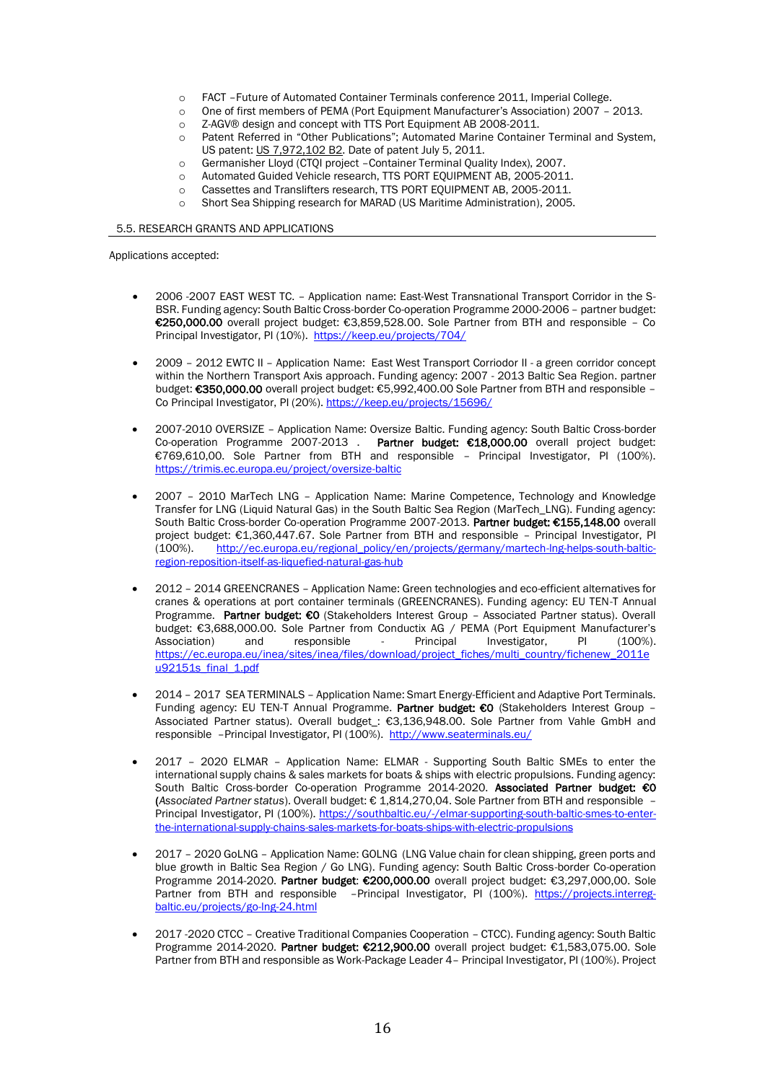- o FACT –Future of Automated Container Terminals conference 2011, Imperial College.
- o One of first members of PEMA (Port Equipment Manufacturer's Association) 2007 2013.
- o Z-AGV® design and concept with TTS Port Equipment AB 2008-2011.
- o Patent Referred in "Other Publications"; Automated Marine Container Terminal and System, US patent: US 7,972,102 B2. Date of patent July 5, 2011.
- o Germanisher Lloyd (CTQI project –Container Terminal Quality Index), 2007.
- o Automated Guided Vehicle research, TTS PORT EQUIPMENT AB, 2005-2011.
- o Cassettes and Translifters research, TTS PORT EQUIPMENT AB, 2005-2011.
- o Short Sea Shipping research for MARAD (US Maritime Administration), 2005.

#### 5.5. RESEARCH GRANTS AND APPLICATIONS

Applications accepted:

- 2006 -2007 EAST WEST TC. Application name: East-West Transnational Transport Corridor in the S-BSR. Funding agency: South Baltic Cross-border Co-operation Programme 2000-2006 – partner budget: €250,000.00 overall project budget: €3,859,528.00. Sole Partner from BTH and responsible – Co Principal Investigator, PI (10%).<https://keep.eu/projects/704/>
- 2009 2012 EWTC II Application Name: East West Transport Corriodor II a green corridor concept within the Northern Transport Axis approach. Funding agency: 2007 - 2013 Baltic Sea Region. partner budget: €350,000.00 overall project budget: €5,992,400.00 Sole Partner from BTH and responsible – Co Principal Investigator, PI (20%). <https://keep.eu/projects/15696/>
- 2007-2010 OVERSIZE Application Name: Oversize Baltic. Funding agency: South Baltic Cross-border Co-operation Programme 2007-2013 . Partner budget: €18,000.00 overall project budget: €769,610,00. Sole Partner from BTH and responsible – Principal Investigator, PI (100%). <https://trimis.ec.europa.eu/project/oversize-baltic>
- 2007 2010 MarTech LNG Application Name: Marine Competence, Technology and Knowledge Transfer for LNG (Liquid Natural Gas) in the South Baltic Sea Region (MarTech\_LNG). Funding agency: South Baltic Cross-border Co-operation Programme 2007-2013. Partner budget: €155,148.00 overall project budget: €1,360,447.67. Sole Partner from BTH and responsible - Principal Investigator, PI (100%). [http://ec.europa.eu/regional\\_policy/en/projects/germany/martech-lng-helps-south-baltic](http://ec.europa.eu/regional_policy/en/projects/germany/martech-lng-helps-south-baltic-region-reposition-itself-as-liquefied-natural-gas-hub)[region-reposition-itself-as-liquefied-natural-gas-hub](http://ec.europa.eu/regional_policy/en/projects/germany/martech-lng-helps-south-baltic-region-reposition-itself-as-liquefied-natural-gas-hub)
- 2012 2014 GREENCRANES Application Name: Green technologies and eco-efficient alternatives for cranes & operations at port container terminals (GREENCRANES). Funding agency: EU TEN-T Annual Programme. Partner budget: €0 (Stakeholders Interest Group – Associated Partner status). Overall budget: €3,688,000.00. Sole Partner from Conductix AG / PEMA (Port Equipment Manufacturer's Association) and responsible - Principal Investigator, PI (100%). Association) and responsible - Principal Investigator, PI (100%). [https://ec.europa.eu/inea/sites/inea/files/download/project\\_fiches/multi\\_country/fichenew\\_2011e](https://ec.europa.eu/inea/sites/inea/files/download/project_fiches/multi_country/fichenew_2011eu92151s_final_1.pdf) [u92151s\\_final\\_1.pdf](https://ec.europa.eu/inea/sites/inea/files/download/project_fiches/multi_country/fichenew_2011eu92151s_final_1.pdf)
- 2014 2017 SEA TERMINALS Application Name: Smart Energy-Efficient and Adaptive Port Terminals. Funding agency: EU TEN-T Annual Programme. Partner budget: €0 (Stakeholders Interest Group -Associated Partner status). Overall budget\_: €3,136,948.00. Sole Partner from Vahle GmbH and responsible –Principal Investigator, PI (100%).<http://www.seaterminals.eu/>
- 2017 2020 ELMAR Application Name: ELMAR Supporting South Baltic SMEs to enter the international supply chains & sales markets for boats & ships with electric propulsions. Funding agency: South Baltic Cross-border Co-operation Programme 2014-2020. Associated Partner budget: €0 (*Associated Partner status*). Overall budget: € 1,814,270,04. Sole Partner from BTH and responsible – Principal Investigator, PI (100%). [https://southbaltic.eu/-/elmar-supporting-south-baltic-smes-to-enter](https://southbaltic.eu/-/elmar-supporting-south-baltic-smes-to-enter-the-international-supply-chains-sales-markets-for-boats-ships-with-electric-propulsions)[the-international-supply-chains-sales-markets-for-boats-ships-with-electric-propulsions](https://southbaltic.eu/-/elmar-supporting-south-baltic-smes-to-enter-the-international-supply-chains-sales-markets-for-boats-ships-with-electric-propulsions)
- 2017 2020 GoLNG Application Name: GOLNG (LNG Value chain for clean shipping, green ports and blue growth in Baltic Sea Region / Go LNG). Funding agency: South Baltic Cross-border Co-operation Programme 2014-2020. Partner budget: €200,000.00 overall project budget: €3,297,000.00. Sole Partner from BTH and responsible -Principal Investigator, PI (100%). [https://projects.interreg](https://projects.interreg-baltic.eu/projects/go-lng-24.html)[baltic.eu/projects/go-lng-24.html](https://projects.interreg-baltic.eu/projects/go-lng-24.html)
- 2017 -2020 CTCC Creative Traditional Companies Cooperation CTCC). Funding agency: South Baltic Programme 2014-2020. Partner budget: €212,900.00 overall project budget: €1,583,075.00. Sole Partner from BTH and responsible as Work-Package Leader 4– Principal Investigator, PI (100%). Project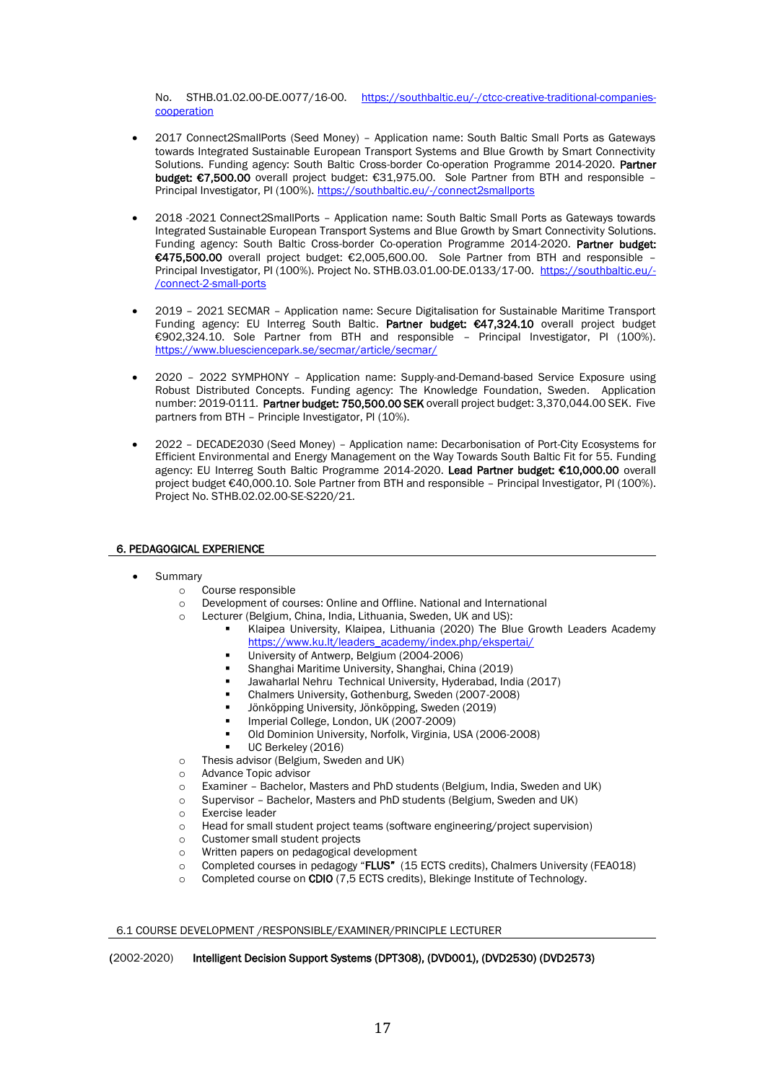No. STHB.01.02.00-DE.0077/16-00. [https://southbaltic.eu/-/ctcc-creative-traditional-companies](https://southbaltic.eu/-/ctcc-creative-traditional-companies-cooperation)[cooperation](https://southbaltic.eu/-/ctcc-creative-traditional-companies-cooperation)

- 2017 Connect2SmallPorts (Seed Money) Application name: South Baltic Small Ports as Gateways towards Integrated Sustainable European Transport Systems and Blue Growth by Smart Connectivity Solutions. Funding agency: South Baltic Cross-border Co-operation Programme 2014-2020. Partner budget: €7,500.00 overall project budget: €31,975.00. Sole Partner from BTH and responsible – Principal Investigator, PI (100%). <https://southbaltic.eu/-/connect2smallports>
- 2018 -2021 Connect2SmallPorts Application name: South Baltic Small Ports as Gateways towards Integrated Sustainable European Transport Systems and Blue Growth by Smart Connectivity Solutions. Funding agency: South Baltic Cross-border Co-operation Programme 2014-2020. Partner budget: €475,500.00 overall project budget: €2,005,600.00. Sole Partner from BTH and responsible – Principal Investigator, PI (100%). Project No. STHB.03.01.00-DE.0133/17-00. [https://southbaltic.eu/-](https://southbaltic.eu/-/connect-2-small-ports) [/connect-2-small-ports](https://southbaltic.eu/-/connect-2-small-ports)
- 2019 2021 SECMAR Application name: Secure Digitalisation for Sustainable Maritime Transport Funding agency: EU Interreg South Baltic. Partner budget: €47,324.10 overall project budget €902,324.10. Sole Partner from BTH and responsible – Principal Investigator, PI (100%). <https://www.bluesciencepark.se/secmar/article/secmar/>
- 2020 2022 SYMPHONY Application name: Supply-and-Demand-based Service Exposure using Robust Distributed Concepts. Funding agency: The Knowledge Foundation, Sweden. Application number: 2019-0111. Partner budget: 750,500.00 SEK overall project budget: 3,370,044.00 SEK. Five partners from BTH – Principle Investigator, PI (10%).
- 2022 DECADE2030 (Seed Money) Application name: Decarbonisation of Port-City Ecosystems for Efficient Environmental and Energy Management on the Way Towards South Baltic Fit for 55. Funding agency: EU Interreg South Baltic Programme 2014-2020. Lead Partner budget: €10,000.00 overall project budget €40,000.10. Sole Partner from BTH and responsible – Principal Investigator, PI (100%). Project No. STHB.02.02.00-SE-S220/21.

# 6. PEDAGOGICAL EXPERIENCE

## **Summary**

- o Course responsible
- o Development of courses: Online and Offline. National and International
- o Lecturer (Belgium, China, India, Lithuania, Sweden, UK and US):
	- Klaipea University, Klaipea, Lithuania (2020) The Blue Growth Leaders Academy [https://www.ku.lt/leaders\\_academy/index.php/ekspertai/](https://www.ku.lt/leaders_academy/index.php/ekspertai/)
	- University of Antwerp, Belgium (2004-2006)
	- Shanghai Maritime University, Shanghai, China (2019)
	- Jawaharlal Nehru Technical University, Hyderabad, India (2017)
	- Chalmers University, Gothenburg, Sweden (2007-2008)
	- Jönköpping University, Jönköpping, Sweden (2019)
	- Imperial College, London, UK (2007-2009)
	- Old Dominion University, Norfolk, Virginia, USA (2006-2008)
	- UC Berkeley (2016)
- o Thesis advisor (Belgium, Sweden and UK)
- o Advance Topic advisor
- o Examiner Bachelor, Masters and PhD students (Belgium, India, Sweden and UK)
- o Supervisor Bachelor, Masters and PhD students (Belgium, Sweden and UK)
- o Exercise leader
- o Head for small student project teams (software engineering/project supervision)
- o Customer small student projects
- o Written papers on pedagogical development
- o Completed courses in pedagogy "FLUS" (15 ECTS credits), Chalmers University (FEA018)
- o Completed course on CDIO (7,5 ECTS credits), Blekinge Institute of Technology.

## 6.1 COURSE DEVELOPMENT /RESPONSIBLE/EXAMINER/PRINCIPLE LECTURER

## (2002-2020) Intelligent Decision Support Systems (DPT308), (DVD001), (DVD2530) (DVD2573)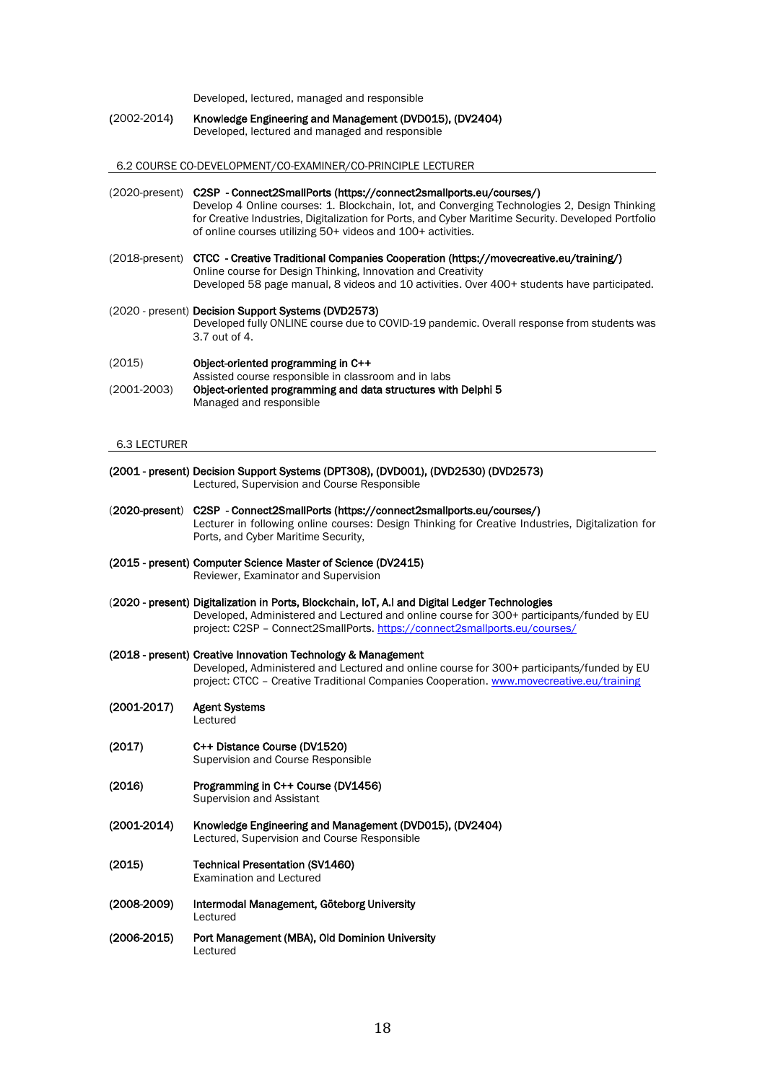Developed, lectured, managed and responsible

(2002-2014) Knowledge Engineering and Management (DVD015), (DV2404) Developed, lectured and managed and responsible

6.2 COURSE CO-DEVELOPMENT/CO-EXAMINER/CO-PRINCIPLE LECTURER

- (2020-present) C2SP Connect2SmallPorts (https://connect2smallports.eu/courses/) Develop 4 Online courses: 1. Blockchain, Iot, and Converging Technologies 2, Design Thinking for Creative Industries, Digitalization for Ports, and Cyber Maritime Security. Developed Portfolio of online courses utilizing 50+ videos and 100+ activities.
- (2018-present) CTCC Creative Traditional Companies Cooperation (https://movecreative.eu/training/) Online course for Design Thinking, Innovation and Creativity Developed 58 page manual, 8 videos and 10 activities. Over 400+ students have participated.
- (2020 present) Decision Support Systems (DVD2573) Developed fully ONLINE course due to COVID-19 pandemic. Overall response from students was 3.7 out of 4.
- (2015) Object-oriented programming in C++ Assisted course responsible in classroom and in labs (2001-2003) Object-oriented programming and data structures with Delphi 5 Managed and responsible

#### 6.3 LECTURER

- (2001 present) Decision Support Systems (DPT308), (DVD001), (DVD2530) (DVD2573) Lectured, Supervision and Course Responsible
- (2020-present) C2SP Connect2SmallPorts (https://connect2smallports.eu/courses/) Lecturer in following online courses: Design Thinking for Creative Industries, Digitalization for Ports, and Cyber Maritime Security,
- (2015 present) Computer Science Master of Science (DV2415) Reviewer, Examinator and Supervision
- (2020 present) Digitalization in Ports, Blockchain, IoT, A.I and Digital Ledger Technologies Developed, Administered and Lectured and online course for 300+ participants/funded by EU project: C2SP – Connect2SmallPorts[. https://connect2smallports.eu/courses/](https://connect2smallports.eu/courses/)
- (2018 present) Creative Innovation Technology & Management Developed, Administered and Lectured and online course for 300+ participants/funded by EU project: CTCC - Creative Traditional Companies Cooperation. [www.movecreative.eu/training](http://www.movecreative.eu/training)
- (2001-2017) Agent Systems
	- Lectured
- (2017) C++ Distance Course (DV1520) Supervision and Course Responsible
- (2016) Programming in C++ Course (DV1456) Supervision and Assistant
- (2001-2014) Knowledge Engineering and Management (DVD015), (DV2404) Lectured, Supervision and Course Responsible
- (2015) Technical Presentation (SV1460) Examination and Lectured
- (2008-2009) Intermodal Management, Göteborg University Lectured
- (2006-2015) Port Management (MBA), Old Dominion University Lectured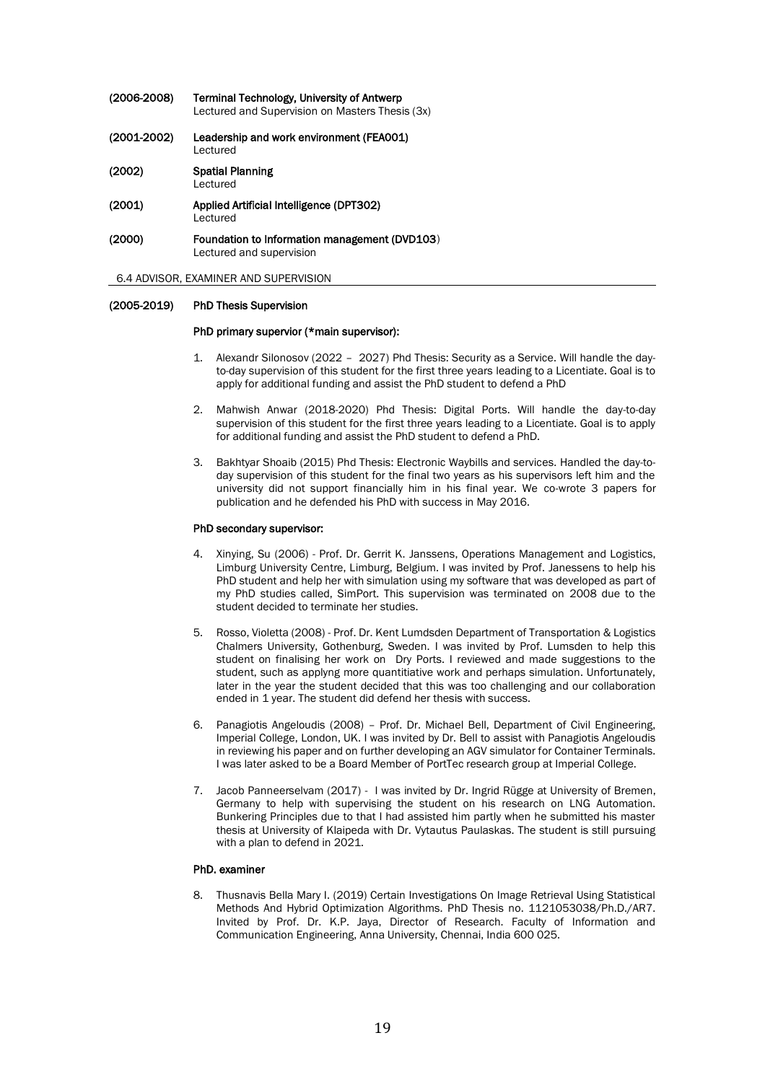| $(2006-2008)$   | Terminal Technology, University of Antwerp<br>Lectured and Supervision on Masters Thesis (3x) |
|-----------------|-----------------------------------------------------------------------------------------------|
| $(2001 - 2002)$ | Leadership and work environment (FEA001)<br>Lectured                                          |
| (2002)          | <b>Spatial Planning</b><br>Lectured                                                           |
| (2001)          | Applied Artificial Intelligence (DPT302)<br>Lectured                                          |
| (2000)          | Foundation to Information management (DVD103)<br>Lectured and supervision                     |

6.4 ADVISOR, EXAMINER AND SUPERVISION

## (2005-2019) PhD Thesis Supervision

#### PhD primary supervior (\*main supervisor):

- 1. Alexandr Silonosov (2022 2027) Phd Thesis: Security as a Service. Will handle the dayto-day supervision of this student for the first three years leading to a Licentiate. Goal is to apply for additional funding and assist the PhD student to defend a PhD
- 2. Mahwish Anwar (2018-2020) Phd Thesis: Digital Ports. Will handle the day-to-day supervision of this student for the first three years leading to a Licentiate. Goal is to apply for additional funding and assist the PhD student to defend a PhD.
- 3. Bakhtyar Shoaib (2015) Phd Thesis: Electronic Waybills and services. Handled the day-today supervision of this student for the final two years as his supervisors left him and the university did not support financially him in his final year. We co-wrote 3 papers for publication and he defended his PhD with success in May 2016.

# PhD secondary supervisor:

- 4. Xinying, Su (2006) Prof. Dr. Gerrit K. Janssens, Operations Management and Logistics, Limburg University Centre, Limburg, Belgium. I was invited by Prof. Janessens to help his PhD student and help her with simulation using my software that was developed as part of my PhD studies called, SimPort. This supervision was terminated on 2008 due to the student decided to terminate her studies.
- 5. Rosso, Violetta (2008) Prof. Dr. Kent Lumdsden Department of Transportation & Logistics Chalmers University, Gothenburg, Sweden. I was invited by Prof. Lumsden to help this student on finalising her work on Dry Ports. I reviewed and made suggestions to the student, such as applyng more quantitiative work and perhaps simulation. Unfortunately, later in the year the student decided that this was too challenging and our collaboration ended in 1 year. The student did defend her thesis with success.
- 6. Panagiotis Angeloudis (2008) Prof. Dr. Michael Bell, Department of Civil Engineering, Imperial College, London, UK. I was invited by Dr. Bell to assist with Panagiotis Angeloudis in reviewing his paper and on further developing an AGV simulator for Container Terminals. I was later asked to be a Board Member of PortTec research group at Imperial College.
- 7. Jacob Panneerselvam (2017) I was invited by Dr. Ingrid Rügge at University of Bremen, Germany to help with supervising the student on his research on LNG Automation. Bunkering Principles due to that I had assisted him partly when he submitted his master thesis at University of Klaipeda with Dr. Vytautus Paulaskas. The student is still pursuing with a plan to defend in 2021.

## PhD. examiner

8. Thusnavis Bella Mary I. (2019) Certain Investigations On Image Retrieval Using Statistical Methods And Hybrid Optimization Algorithms. PhD Thesis no. 1121053038/Ph.D./AR7. Invited by Prof. Dr. K.P. Jaya, Director of Research. Faculty of Information and Communication Engineering, Anna University, Chennai, India 600 025.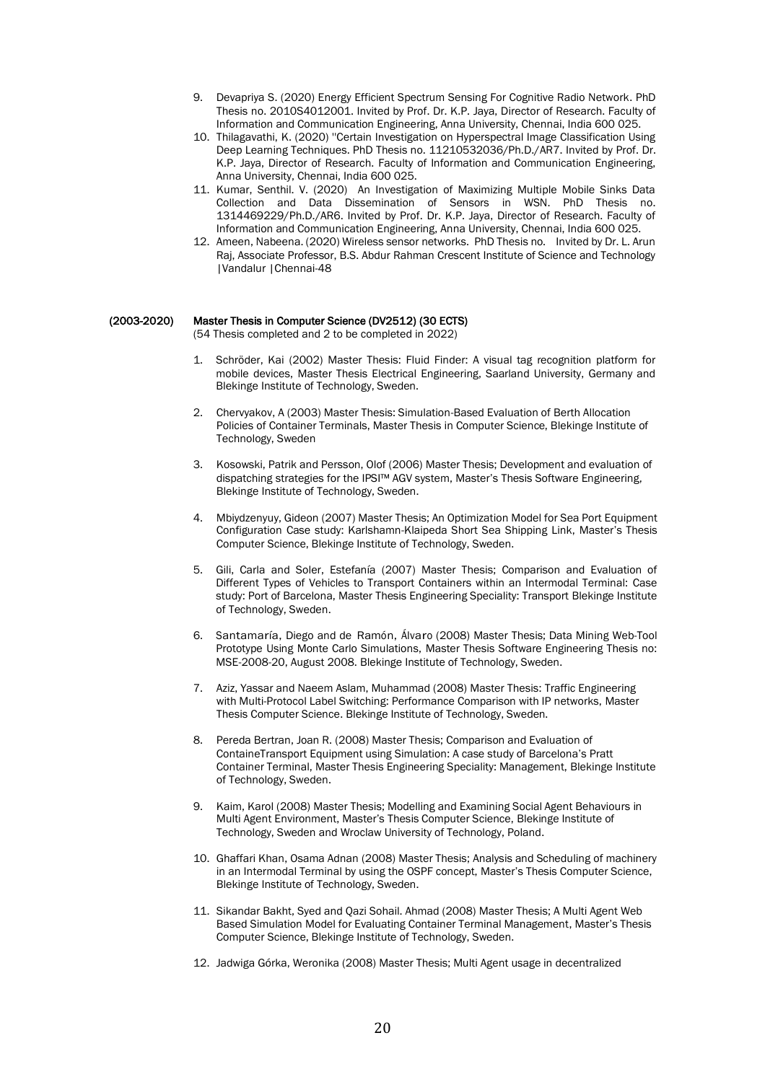- 9. Devapriya S. (2020) Energy Efficient Spectrum Sensing For Cognitive Radio Network. PhD Thesis no. 2010S4012001. Invited by Prof. Dr. K.P. Jaya, Director of Research. Faculty of Information and Communication Engineering, Anna University, Chennai, India 600 025.
- 10. Thilagavathi, K. (2020) ''Certain Investigation on Hyperspectral Image Classification Using Deep Learning Techniques. PhD Thesis no. 11210532036/Ph.D./AR7. Invited by Prof. Dr. K.P. Jaya, Director of Research. Faculty of Information and Communication Engineering, Anna University, Chennai, India 600 025.
- 11. Kumar, Senthil. V. (2020) An Investigation of Maximizing Multiple Mobile Sinks Data Collection and Data Dissemination of Sensors in WSN. PhD Thesis no. 1314469229/Ph.D./AR6. Invited by Prof. Dr. K.P. Jaya, Director of Research. Faculty of Information and Communication Engineering, Anna University, Chennai, India 600 025.
- 12. Ameen, Nabeena. (2020) Wireless sensor networks. PhD Thesis no. Invited by Dr. L. Arun Raj, Associate Professor, B.S. Abdur Rahman Crescent Institute of Science and Technology |Vandalur |Chennai-48

#### (2003-2020) Master Thesis in Computer Science (DV2512) (30 ECTS)

(54 Thesis completed and 2 to be completed in 2022)

- 1. Schröder, Kai (2002) Master Thesis: Fluid Finder: A visual tag recognition platform for mobile devices, Master Thesis Electrical Engineering, Saarland University, Germany and Blekinge Institute of Technology, Sweden.
- 2. Chervyakov, A (2003) Master Thesis: Simulation-Based Evaluation of Berth Allocation Policies of Container Terminals, Master Thesis in Computer Science, Blekinge Institute of Technology, Sweden
- 3. Kosowski, Patrik and Persson, Olof (2006) Master Thesis; Development and evaluation of dispatching strategies for the IPSI™ AGV system, Master's Thesis Software Engineering, Blekinge Institute of Technology, Sweden.
- 4. Mbiydzenyuy, Gideon (2007) Master Thesis; An Optimization Model for Sea Port Equipment Configuration Case study: Karlshamn-Klaipeda Short Sea Shipping Link, Master's Thesis Computer Science, Blekinge Institute of Technology, Sweden.
- 5. Gili, Carla and Soler, Estefanía (2007) Master Thesis; Comparison and Evaluation of Different Types of Vehicles to Transport Containers within an Intermodal Terminal: Case study: Port of Barcelona, Master Thesis Engineering Speciality: Transport Blekinge Institute of Technology, Sweden.
- 6. Santamaría, Diego and de Ramón, Álvaro (2008) Master Thesis; Data Mining Web-Tool Prototype Using Monte Carlo Simulations, Master Thesis Software Engineering Thesis no: MSE-2008-20, August 2008. Blekinge Institute of Technology, Sweden.
- 7. Aziz, Yassar and Naeem Aslam, Muhammad (2008) Master Thesis: Traffic Engineering with Multi-Protocol Label Switching: Performance Comparison with IP networks, Master Thesis Computer Science. Blekinge Institute of Technology, Sweden.
- 8. Pereda Bertran, Joan R. (2008) Master Thesis; Comparison and Evaluation of ContaineTransport Equipment using Simulation: A case study of Barcelona's Pratt Container Terminal, Master Thesis Engineering Speciality: Management, Blekinge Institute of Technology, Sweden.
- 9. Kaim, Karol (2008) Master Thesis; Modelling and Examining Social Agent Behaviours in Multi Agent Environment, Master's Thesis Computer Science, Blekinge Institute of Technology, Sweden and Wroclaw University of Technology, Poland.
- 10. Ghaffari Khan, Osama Adnan (2008) Master Thesis; Analysis and Scheduling of machinery in an Intermodal Terminal by using the OSPF concept, Master's Thesis Computer Science, Blekinge Institute of Technology, Sweden.
- 11. Sikandar Bakht, Syed and Qazi Sohail. Ahmad (2008) Master Thesis; A Multi Agent Web Based Simulation Model for Evaluating Container Terminal Management, Master's Thesis Computer Science, Blekinge Institute of Technology, Sweden.
- 12. Jadwiga Górka, Weronika (2008) Master Thesis; Multi Agent usage in decentralized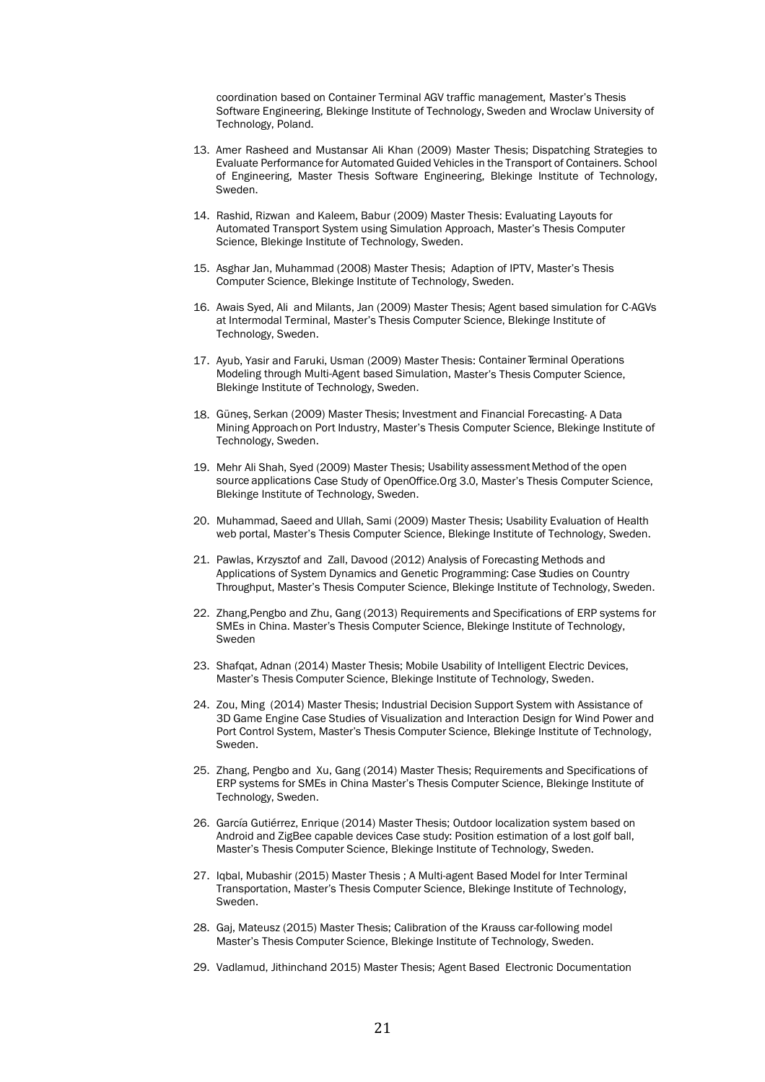coordination based on Container Terminal AGV traffic management, Master's Thesis Software Engineering, Blekinge Institute of Technology, Sweden and Wroclaw University of Technology, Poland.

- 13. Amer Rasheed and Mustansar Ali Khan (2009) Master Thesis; Dispatching Strategies to Evaluate Performance for Automated Guided Vehicles in the Transport of Containers. School of Engineering, Master Thesis Software Engineering, Blekinge Institute of Technology, Sweden.
- 14. Rashid, Rizwan and Kaleem, Babur (2009) Master Thesis: Evaluating Layouts for Automated Transport System using Simulation Approach, Master's Thesis Computer Science, Blekinge Institute of Technology, Sweden.
- 15. Asghar Jan, Muhammad (2008) Master Thesis; Adaption of IPTV, Master's Thesis Computer Science, Blekinge Institute of Technology, Sweden.
- 16. Awais Syed, Ali and Milants, Jan (2009) Master Thesis; Agent based simulation for C-AGVs at Intermodal Terminal, Master's Thesis Computer Science, Blekinge Institute of Technology, Sweden.
- 17. Ayub, Yasir and Faruki, Usman (2009) Master Thesis: Container Terminal Operations Modeling through Multi-Agent based Simulation, Master's Thesis Computer Science, Blekinge Institute of Technology, Sweden.
- 18. Güneş, Serkan (2009) Master Thesis; Investment and Financial Forecasting- A Data Mining Approach on Port Industry, Master's Thesis Computer Science, Blekinge Institute of Technology, Sweden.
- 19. Mehr Ali Shah, Syed (2009) Master Thesis; Usability assessment Method of the open source applications Case Study of OpenOffice.Org 3.0, Master's Thesis Computer Science, Blekinge Institute of Technology, Sweden.
- 20. Muhammad, Saeed and Ullah, Sami (2009) Master Thesis; Usability Evaluation of Health web portal, Master's Thesis Computer Science, Blekinge Institute of Technology, Sweden.
- 21. Pawlas, Krzysztof and Zall, Davood (2012) Analysis of Forecasting Methods and Applications of System Dynamics and Genetic Programming: Case Studies on Country Throughput, Master's Thesis Computer Science, Blekinge Institute of Technology, Sweden.
- 22. Zhang,Pengbo and Zhu, Gang (2013) Requirements and Specifications of ERP systems for SMEs in China. Master's Thesis Computer Science, Blekinge Institute of Technology, Sweden
- 23. Shafqat, Adnan (2014) Master Thesis; Mobile Usability of Intelligent Electric Devices, Master's Thesis Computer Science, Blekinge Institute of Technology, Sweden.
- 24. Zou, Ming (2014) Master Thesis; Industrial Decision Support System with Assistance of 3D Game Engine Case Studies of Visualization and Interaction Design for Wind Power and Port Control System, Master's Thesis Computer Science, Blekinge Institute of Technology, Sweden.
- 25. Zhang, Pengbo and Xu, Gang (2014) Master Thesis; Requirements and Specifications of ERP systems for SMEs in China Master's Thesis Computer Science, Blekinge Institute of Technology, Sweden.
- 26. García Gutiérrez, Enrique (2014) Master Thesis; Outdoor localization system based on Android and ZigBee capable devices Case study: Position estimation of a lost golf ball, Master's Thesis Computer Science, Blekinge Institute of Technology, Sweden.
- 27. Iqbal, Mubashir (2015) Master Thesis ; A Multi-agent Based Model for Inter Terminal Transportation, Master's Thesis Computer Science, Blekinge Institute of Technology, Sweden.
- 28. Gaj, Mateusz (2015) Master Thesis; Calibration of the Krauss car-following model Master's Thesis Computer Science, Blekinge Institute of Technology, Sweden.
- 29. Vadlamud, Jithinchand 2015) Master Thesis; Agent Based Electronic Documentation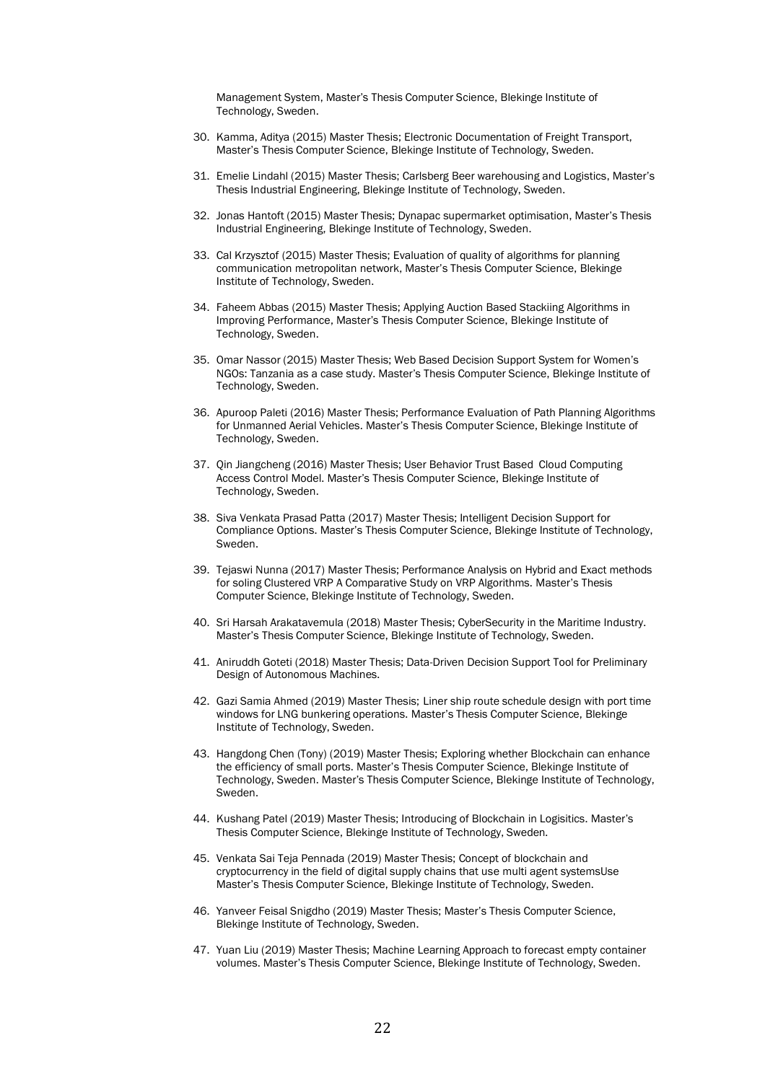Management System, Master's Thesis Computer Science, Blekinge Institute of Technology, Sweden.

- 30. Kamma, Aditya (2015) Master Thesis; Electronic Documentation of Freight Transport, Master's Thesis Computer Science, Blekinge Institute of Technology, Sweden.
- 31. Emelie Lindahl (2015) Master Thesis; Carlsberg Beer warehousing and Logistics, Master's Thesis Industrial Engineering, Blekinge Institute of Technology, Sweden.
- 32. Jonas Hantoft (2015) Master Thesis; Dynapac supermarket optimisation, Master's Thesis Industrial Engineering, Blekinge Institute of Technology, Sweden.
- 33. Cal Krzysztof (2015) Master Thesis; Evaluation of quality of algorithms for planning communication metropolitan network, Master's Thesis Computer Science, Blekinge Institute of Technology, Sweden.
- 34. Faheem Abbas (2015) Master Thesis; Applying Auction Based Stackiing Algorithms in Improving Performance, Master's Thesis Computer Science, Blekinge Institute of Technology, Sweden.
- 35. Omar Nassor (2015) Master Thesis; Web Based Decision Support System for Women's NGOs: Tanzania as a case study. Master's Thesis Computer Science, Blekinge Institute of Technology, Sweden.
- 36. Apuroop Paleti (2016) Master Thesis; Performance Evaluation of Path Planning Algorithms for Unmanned Aerial Vehicles. Master's Thesis Computer Science, Blekinge Institute of Technology, Sweden.
- 37. Qin Jiangcheng (2016) Master Thesis; User Behavior Trust Based Cloud Computing Access Control Model. Master's Thesis Computer Science, Blekinge Institute of Technology, Sweden.
- 38. Siva Venkata Prasad Patta (2017) Master Thesis; Intelligent Decision Support for Compliance Options. Master's Thesis Computer Science, Blekinge Institute of Technology, Sweden.
- 39. Tejaswi Nunna (2017) Master Thesis; Performance Analysis on Hybrid and Exact methods for soling Clustered VRP A Comparative Study on VRP Algorithms. Master's Thesis Computer Science, Blekinge Institute of Technology, Sweden.
- 40. Sri Harsah Arakatavemula (2018) Master Thesis; CyberSecurity in the Maritime Industry. Master's Thesis Computer Science, Blekinge Institute of Technology, Sweden.
- 41. Aniruddh Goteti (2018) Master Thesis; Data-Driven Decision Support Tool for Preliminary Design of Autonomous Machines.
- 42. Gazi Samia Ahmed (2019) Master Thesis; Liner ship route schedule design with port time windows for LNG bunkering operations. Master's Thesis Computer Science, Blekinge Institute of Technology, Sweden.
- 43. Hangdong Chen (Tony) (2019) Master Thesis; Exploring whether Blockchain can enhance the efficiency of small ports. Master's Thesis Computer Science, Blekinge Institute of Technology, Sweden. Master's Thesis Computer Science, Blekinge Institute of Technology, Sweden.
- 44. Kushang Patel (2019) Master Thesis; Introducing of Blockchain in Logisitics. Master's Thesis Computer Science, Blekinge Institute of Technology, Sweden.
- 45. Venkata Sai Teja Pennada (2019) Master Thesis; Concept of blockchain and cryptocurrency in the field of digital supply chains that use multi agent systemsUse Master's Thesis Computer Science, Blekinge Institute of Technology, Sweden.
- 46. Yanveer Feisal Snigdho (2019) Master Thesis; Master's Thesis Computer Science, Blekinge Institute of Technology, Sweden.
- 47. Yuan Liu (2019) Master Thesis; Machine Learning Approach to forecast empty container volumes. Master's Thesis Computer Science, Blekinge Institute of Technology, Sweden.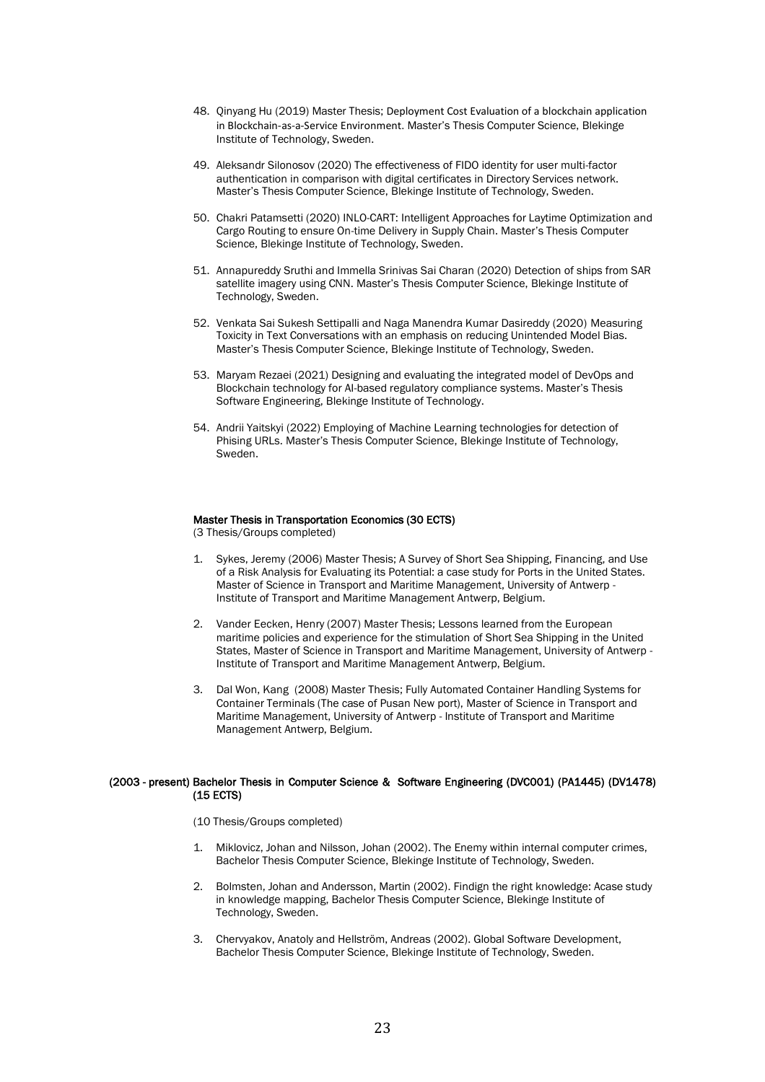- 48. Qinyang Hu (2019) Master Thesis; Deployment Cost Evaluation of a blockchain application in Blockchain-as-a-Service Environment. Master's Thesis Computer Science, Blekinge Institute of Technology, Sweden.
- 49. Aleksandr Silonosov (2020) The effectiveness of FIDO identity for user multi-factor authentication in comparison with digital certificates in Directory Services network. Master's Thesis Computer Science, Blekinge Institute of Technology, Sweden.
- 50. Chakri Patamsetti (2020) INLO-CART: Intelligent Approaches for Laytime Optimization and Cargo Routing to ensure On-time Delivery in Supply Chain. Master's Thesis Computer Science, Blekinge Institute of Technology, Sweden.
- 51. Annapureddy Sruthi and Immella Srinivas Sai Charan (2020) Detection of ships from SAR satellite imagery using CNN. Master's Thesis Computer Science, Blekinge Institute of Technology, Sweden.
- 52. Venkata Sai Sukesh Settipalli and Naga Manendra Kumar Dasireddy (2020) Measuring Toxicity in Text Conversations with an emphasis on reducing Unintended Model Bias. Master's Thesis Computer Science, Blekinge Institute of Technology, Sweden.
- 53. Maryam Rezaei (2021) Designing and evaluating the integrated model of DevOps and Blockchain technology for AI-based regulatory compliance systems. Master's Thesis Software Engineering, Blekinge Institute of Technology.
- 54. Andrii Yaitskyi (2022) Employing of Machine Learning technologies for detection of Phising URLs. Master's Thesis Computer Science, Blekinge Institute of Technology, Sweden.

## Master Thesis in Transportation Economics (30 ECTS)

(3 Thesis/Groups completed)

- Sykes, Jeremy (2006) Master Thesis; A Survey of Short Sea Shipping, Financing, and Use of a Risk Analysis for Evaluating its Potential: a case study for Ports in the United States. Master of Science in Transport and Maritime Management, University of Antwerp - Institute of Transport and Maritime Management Antwerp, Belgium.
- 2. Vander Eecken, Henry (2007) Master Thesis; Lessons learned from the European maritime policies and experience for the stimulation of Short Sea Shipping in the United States, Master of Science in Transport and Maritime Management, University of Antwerp - Institute of Transport and Maritime Management Antwerp, Belgium.
- 3. Dal Won, Kang (2008) Master Thesis; Fully Automated Container Handling Systems for Container Terminals (The case of Pusan New port), Master of Science in Transport and Maritime Management, University of Antwerp - Institute of Transport and Maritime Management Antwerp, Belgium.

## (2003 - present) Bachelor Thesis in Computer Science & Software Engineering (DVC001) (PA1445) (DV1478) (15 ECTS)

(10 Thesis/Groups completed)

- Miklovicz, Johan and Nilsson, Johan (2002). The Enemy within internal computer crimes, Bachelor Thesis Computer Science, Blekinge Institute of Technology, Sweden.
- 2. Bolmsten, Johan and Andersson, Martin (2002). Findign the right knowledge: Acase study in knowledge mapping, Bachelor Thesis Computer Science, Blekinge Institute of Technology, Sweden.
- 3. Chervyakov, Anatoly and Hellström, Andreas (2002). Global Software Development, Bachelor Thesis Computer Science, Blekinge Institute of Technology, Sweden.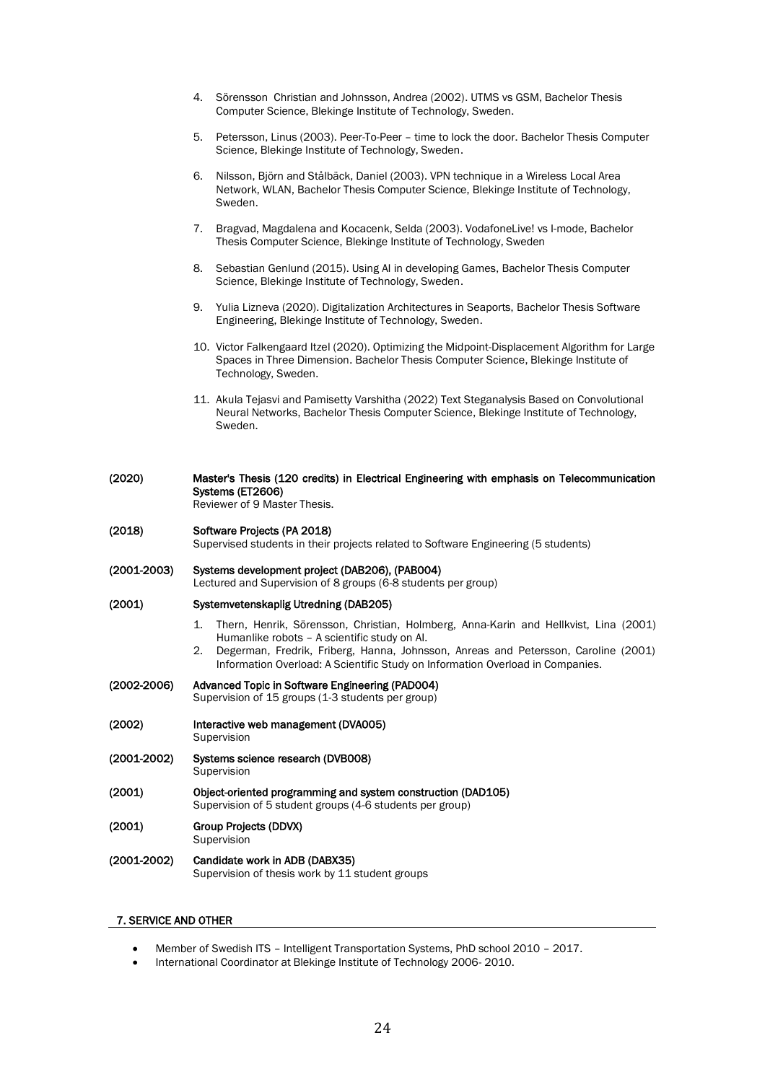- 4. Sörensson Christian and Johnsson, Andrea (2002). UTMS vs GSM, Bachelor Thesis Computer Science, Blekinge Institute of Technology, Sweden.
- 5. Petersson, Linus (2003). Peer-To-Peer time to lock the door. Bachelor Thesis Computer Science, Blekinge Institute of Technology, Sweden.
- 6. Nilsson, Björn and Stålbäck, Daniel (2003). VPN technique in a Wireless Local Area Network, WLAN, Bachelor Thesis Computer Science, Blekinge Institute of Technology, Sweden.
- 7. Bragvad, Magdalena and Kocacenk, Selda (2003). VodafoneLive! vs I-mode, Bachelor Thesis Computer Science, Blekinge Institute of Technology, Sweden
- 8. Sebastian Genlund (2015). Using AI in developing Games, Bachelor Thesis Computer Science, Blekinge Institute of Technology, Sweden.
- 9. Yulia Lizneva (2020). Digitalization Architectures in Seaports, Bachelor Thesis Software Engineering, Blekinge Institute of Technology, Sweden.
- 10. Victor Falkengaard Itzel (2020). Optimizing the Midpoint-Displacement Algorithm for Large Spaces in Three Dimension. Bachelor Thesis Computer Science, Blekinge Institute of Technology, Sweden.
- 11. Akula Tejasvi and Pamisetty Varshitha (2022) Text Steganalysis Based on Convolutional Neural Networks, Bachelor Thesis Computer Science, Blekinge Institute of Technology, Sweden.

| (2020)          | Master's Thesis (120 credits) in Electrical Engineering with emphasis on Telecommunication<br>Systems (ET2606)<br>Reviewer of 9 Master Thesis.                                                                                                                                                                           |  |
|-----------------|--------------------------------------------------------------------------------------------------------------------------------------------------------------------------------------------------------------------------------------------------------------------------------------------------------------------------|--|
| (2018)          | Software Projects (PA 2018)<br>Supervised students in their projects related to Software Engineering (5 students)                                                                                                                                                                                                        |  |
| $(2001 - 2003)$ | Systems development project (DAB206), (PAB004)<br>Lectured and Supervision of 8 groups (6-8 students per group)                                                                                                                                                                                                          |  |
| (2001)          | Systemvetenskaplig Utredning (DAB205)                                                                                                                                                                                                                                                                                    |  |
|                 | Thern, Henrik, Sörensson, Christian, Holmberg, Anna-Karin and Hellkvist, Lina (2001)<br>1.<br>Humanlike robots - A scientific study on Al.<br>2.<br>Degerman, Fredrik, Friberg, Hanna, Johnsson, Anreas and Petersson, Caroline (2001)<br>Information Overload: A Scientific Study on Information Overload in Companies. |  |
| $(2002 - 2006)$ | Advanced Topic in Software Engineering (PAD004)<br>Supervision of 15 groups (1-3 students per group)                                                                                                                                                                                                                     |  |
| (2002)          | Interactive web management (DVA005)<br>Supervision                                                                                                                                                                                                                                                                       |  |
| $(2001 - 2002)$ | Systems science research (DVB008)<br>Supervision                                                                                                                                                                                                                                                                         |  |
| (2001)          | Object-oriented programming and system construction (DAD105)<br>Supervision of 5 student groups (4-6 students per group)                                                                                                                                                                                                 |  |
| (2001)          | Group Projects (DDVX)<br>Supervision                                                                                                                                                                                                                                                                                     |  |
| $(2001 - 2002)$ | Candidate work in ADB (DABX35)<br>Supervision of thesis work by 11 student groups                                                                                                                                                                                                                                        |  |
|                 |                                                                                                                                                                                                                                                                                                                          |  |

# 7. SERVICE AND OTHER

- Member of Swedish ITS Intelligent Transportation Systems, PhD school 2010 2017.
- International Coordinator at Blekinge Institute of Technology 2006- 2010.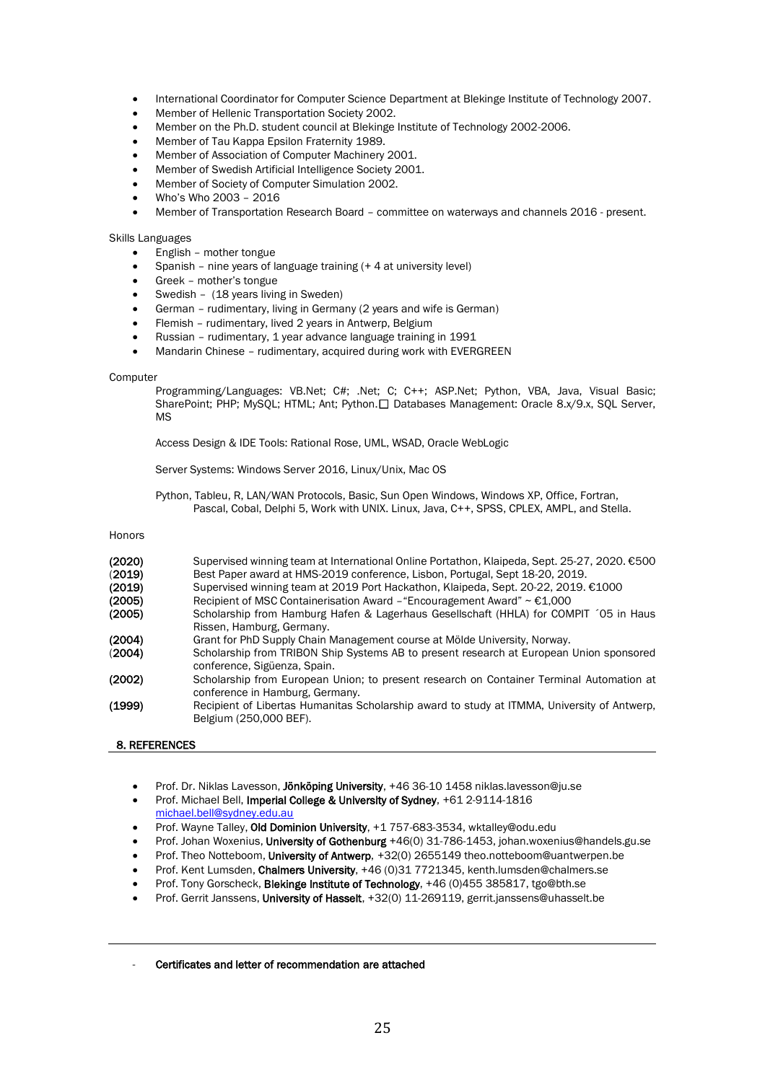- International Coordinator for Computer Science Department at Blekinge Institute of Technology 2007.
- Member of Hellenic Transportation Society 2002.
- Member on the Ph.D. student council at Blekinge Institute of Technology 2002-2006.
- Member of Tau Kappa Epsilon Fraternity 1989.
- Member of Association of Computer Machinery 2001.
- Member of Swedish Artificial Intelligence Society 2001.
- Member of Society of Computer Simulation 2002.
- Who's Who 2003 2016
- Member of Transportation Research Board committee on waterways and channels 2016 present.

## Skills Languages

- English mother tongue
- Spanish nine years of language training (+ 4 at university level)
- Greek mother's tongue
- Swedish (18 years living in Sweden)
- German rudimentary, living in Germany (2 years and wife is German)
- Flemish rudimentary, lived 2 years in Antwerp, Belgium
- Russian rudimentary, 1 year advance language training in 1991
- Mandarin Chinese rudimentary, acquired during work with EVERGREEN

#### Computer

Programming/Languages: VB.Net; C#; .Net; C; C++; ASP.Net; Python, VBA, Java, Visual Basic; SharePoint: PHP; MySOL; HTML; Ant: Python. Databases Management: Oracle 8.x/9.x, SOL Server, MS

Access Design & IDE Tools: Rational Rose, UML, WSAD, Oracle WebLogic

Server Systems: Windows Server 2016, Linux/Unix, Mac OS

Python, Tableu, R, LAN/WAN Protocols, Basic, Sun Open Windows, Windows XP, Office, Fortran, Pascal, Cobal, Delphi 5, Work with UNIX. Linux, Java, C++, SPSS, CPLEX, AMPL, and Stella.

#### Honors

| (2020)<br>(2019)<br>(2019)<br>(2005) | Supervised winning team at International Online Portathon, Klaipeda, Sept. 25-27, 2020. €500<br>Best Paper award at HMS-2019 conference, Lisbon, Portugal, Sept 18-20, 2019.<br>Supervised winning team at 2019 Port Hackathon, Klaipeda, Sept. 20-22, 2019. €1000<br>Recipient of MSC Containerisation Award - "Encouragement Award" $\sim \text{\textsterling}1,000$ |
|--------------------------------------|------------------------------------------------------------------------------------------------------------------------------------------------------------------------------------------------------------------------------------------------------------------------------------------------------------------------------------------------------------------------|
|                                      |                                                                                                                                                                                                                                                                                                                                                                        |
| (2005)                               | Scholarship from Hamburg Hafen & Lagerhaus Gesellschaft (HHLA) for COMPIT (05 in Haus<br>Rissen, Hamburg, Germany.                                                                                                                                                                                                                                                     |
| (2004)                               | Grant for PhD Supply Chain Management course at Mölde University, Norway.                                                                                                                                                                                                                                                                                              |
| (2004)                               | Scholarship from TRIBON Ship Systems AB to present research at European Union sponsored<br>conference, Sigüenza, Spain.                                                                                                                                                                                                                                                |
| (2002)                               | Scholarship from European Union; to present research on Container Terminal Automation at<br>conference in Hamburg, Germany.                                                                                                                                                                                                                                            |
| (1999)                               | Recipient of Libertas Humanitas Scholarship award to study at ITMMA, University of Antwerp,<br>Belgium (250,000 BEF).                                                                                                                                                                                                                                                  |

#### 8. REFERENCES

- Prof. Dr. Niklas Lavesson, Jönköping University, +46 36-10 1458 niklas.lavesson@ju.se
- Prof. Michael Bell, Imperial College & University of Sydney, +61 2-9114-1816 [michael.bell@sydney.edu.au](mailto:michael.bell@sydney.edu.au)
- Prof. Wayne Talley, Old Dominion University, +1 757-683-3534, wktalley@odu.edu
- Prof. Johan Woxenius, University of Gothenburg +46(0) 31-786-1453, johan.woxenius@handels.gu.se
- Prof. Theo Notteboom, University of Antwerp, +32(0) 2655149 theo.notteboom@uantwerpen.be
- Prof. Kent Lumsden, Chalmers University, +46 (0)31 7721345, kenth.lumsden@chalmers.se
- Prof. Tony Gorscheck, Blekinge Institute of Technology, +46 (0)455 385817, tgo@bth.se
- Prof. Gerrit Janssens, University of Hasselt, +32(0) 11-269119, gerrit.janssens@uhasselt.be

#### Certificates and letter of recommendation are attached